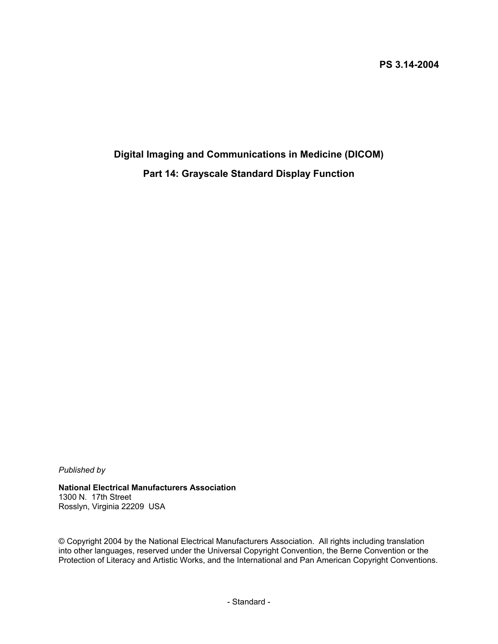# **Digital Imaging and Communications in Medicine (DICOM) Part 14: Grayscale Standard Display Function**

*Published by*

**National Electrical Manufacturers Association** 1300 N. 17th Street Rosslyn, Virginia 22209 USA

© Copyright 2004 by the National Electrical Manufacturers Association. All rights including translation into other languages, reserved under the Universal Copyright Convention, the Berne Convention or the Protection of Literacy and Artistic Works, and the International and Pan American Copyright Conventions.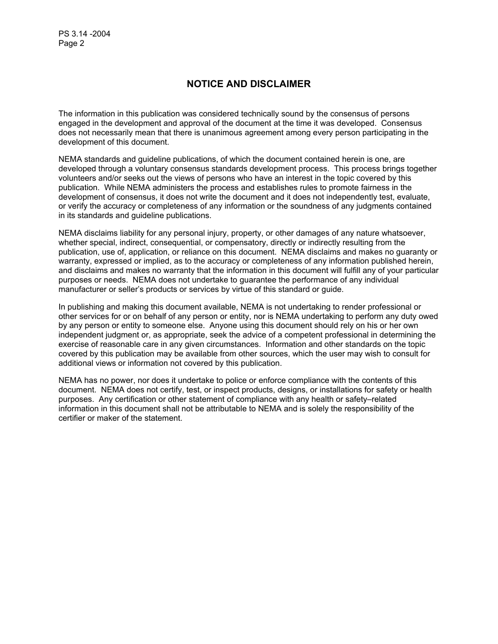### **NOTICE AND DISCLAIMER**

The information in this publication was considered technically sound by the consensus of persons engaged in the development and approval of the document at the time it was developed. Consensus does not necessarily mean that there is unanimous agreement among every person participating in the development of this document.

NEMA standards and guideline publications, of which the document contained herein is one, are developed through a voluntary consensus standards development process. This process brings together volunteers and/or seeks out the views of persons who have an interest in the topic covered by this publication. While NEMA administers the process and establishes rules to promote fairness in the development of consensus, it does not write the document and it does not independently test, evaluate, or verify the accuracy or completeness of any information or the soundness of any judgments contained in its standards and guideline publications.

NEMA disclaims liability for any personal injury, property, or other damages of any nature whatsoever, whether special, indirect, consequential, or compensatory, directly or indirectly resulting from the publication, use of, application, or reliance on this document. NEMA disclaims and makes no guaranty or warranty, expressed or implied, as to the accuracy or completeness of any information published herein, and disclaims and makes no warranty that the information in this document will fulfill any of your particular purposes or needs. NEMA does not undertake to guarantee the performance of any individual manufacturer or seller's products or services by virtue of this standard or guide.

In publishing and making this document available, NEMA is not undertaking to render professional or other services for or on behalf of any person or entity, nor is NEMA undertaking to perform any duty owed by any person or entity to someone else. Anyone using this document should rely on his or her own independent judgment or, as appropriate, seek the advice of a competent professional in determining the exercise of reasonable care in any given circumstances. Information and other standards on the topic covered by this publication may be available from other sources, which the user may wish to consult for additional views or information not covered by this publication.

NEMA has no power, nor does it undertake to police or enforce compliance with the contents of this document. NEMA does not certify, test, or inspect products, designs, or installations for safety or health purposes. Any certification or other statement of compliance with any health or safety–related information in this document shall not be attributable to NEMA and is solely the responsibility of the certifier or maker of the statement.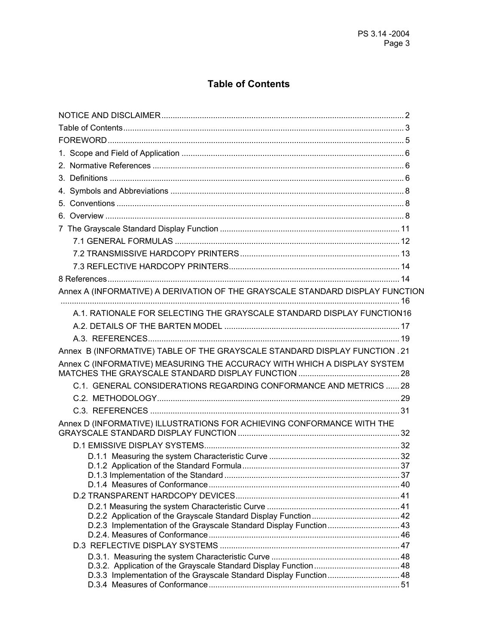## **Table of Contents**

| Annex A (INFORMATIVE) A DERIVATION OF THE GRAYSCALE STANDARD DISPLAY FUNCTION |  |
|-------------------------------------------------------------------------------|--|
| A.1. RATIONALE FOR SELECTING THE GRAYSCALE STANDARD DISPLAY FUNCTION16        |  |
|                                                                               |  |
|                                                                               |  |
| Annex B (INFORMATIVE) TABLE OF THE GRAYSCALE STANDARD DISPLAY FUNCTION .21    |  |
| Annex C (INFORMATIVE) MEASURING THE ACCURACY WITH WHICH A DISPLAY SYSTEM      |  |
| C.1. GENERAL CONSIDERATIONS REGARDING CONFORMANCE AND METRICS  28             |  |
|                                                                               |  |
|                                                                               |  |
| Annex D (INFORMATIVE) ILLUSTRATIONS FOR ACHIEVING CONFORMANCE WITH THE        |  |
|                                                                               |  |
|                                                                               |  |
|                                                                               |  |
|                                                                               |  |
|                                                                               |  |
|                                                                               |  |
|                                                                               |  |
| D.2.3 Implementation of the Grayscale Standard Display Function 43            |  |
|                                                                               |  |
|                                                                               |  |
|                                                                               |  |
| D.3.3 Implementation of the Grayscale Standard Display Function 48            |  |
|                                                                               |  |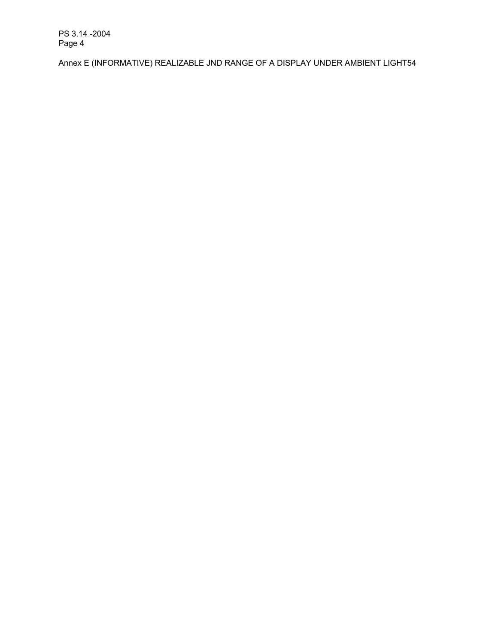Annex E (INFORMATIVE) REALIZABLE JND RANGE OF A DISPLAY UNDER AMBIENT LIGHT54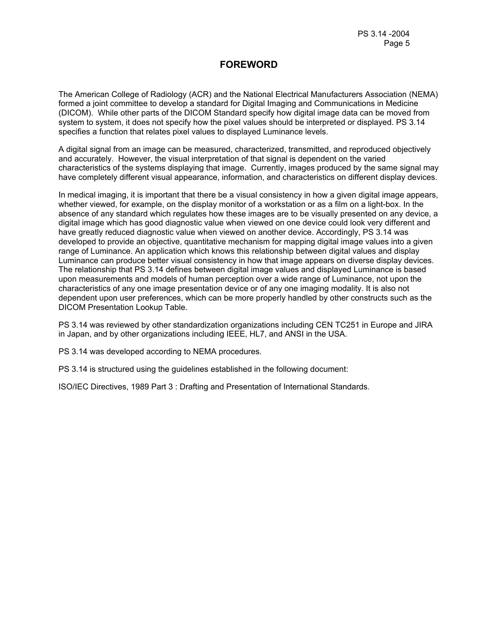### **FOREWORD**

The American College of Radiology (ACR) and the National Electrical Manufacturers Association (NEMA) formed a joint committee to develop a standard for Digital Imaging and Communications in Medicine (DICOM). While other parts of the DICOM Standard specify how digital image data can be moved from system to system, it does not specify how the pixel values should be interpreted or displayed. PS 3.14 specifies a function that relates pixel values to displayed Luminance levels.

A digital signal from an image can be measured, characterized, transmitted, and reproduced objectively and accurately. However, the visual interpretation of that signal is dependent on the varied characteristics of the systems displaying that image. Currently, images produced by the same signal may have completely different visual appearance, information, and characteristics on different display devices.

In medical imaging, it is important that there be a visual consistency in how a given digital image appears, whether viewed, for example, on the display monitor of a workstation or as a film on a light-box. In the absence of any standard which regulates how these images are to be visually presented on any device, a digital image which has good diagnostic value when viewed on one device could look very different and have greatly reduced diagnostic value when viewed on another device. Accordingly, PS 3.14 was developed to provide an objective, quantitative mechanism for mapping digital image values into a given range of Luminance. An application which knows this relationship between digital values and display Luminance can produce better visual consistency in how that image appears on diverse display devices. The relationship that PS 3.14 defines between digital image values and displayed Luminance is based upon measurements and models of human perception over a wide range of Luminance, not upon the characteristics of any one image presentation device or of any one imaging modality. It is also not dependent upon user preferences, which can be more properly handled by other constructs such as the DICOM Presentation Lookup Table.

PS 3.14 was reviewed by other standardization organizations including CEN TC251 in Europe and JIRA in Japan, and by other organizations including IEEE, HL7, and ANSI in the USA.

PS 3.14 was developed according to NEMA procedures.

PS 3.14 is structured using the guidelines established in the following document:

ISO/IEC Directives, 1989 Part 3 : Drafting and Presentation of International Standards.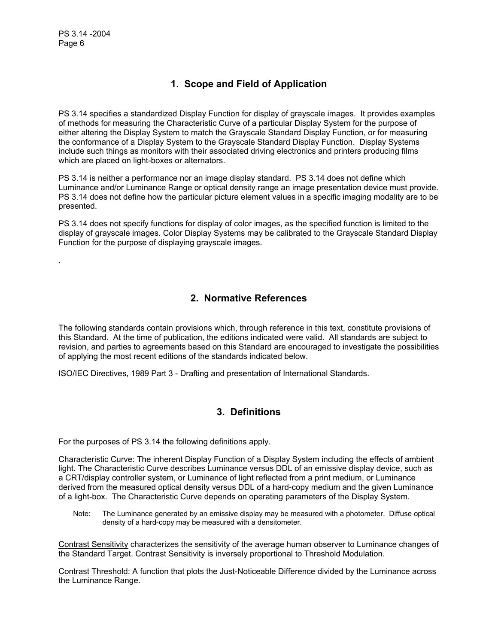.

### **1. Scope and Field of Application**

PS 3.14 specifies a standardized Display Function for display of grayscale images. It provides examples of methods for measuring the Characteristic Curve of a particular Display System for the purpose of either altering the Display System to match the Grayscale Standard Display Function, or for measuring the conformance of a Display System to the Grayscale Standard Display Function. Display Systems include such things as monitors with their associated driving electronics and printers producing films which are placed on light-boxes or alternators.

PS 3.14 is neither a performance nor an image display standard. PS 3.14 does not define which Luminance and/or Luminance Range or optical density range an image presentation device must provide. PS 3.14 does not define how the particular picture element values in a specific imaging modality are to be presented.

PS 3.14 does not specify functions for display of color images, as the specified function is limited to the display of grayscale images. Color Display Systems may be calibrated to the Grayscale Standard Display Function for the purpose of displaying grayscale images.

### **2. Normative References**

The following standards contain provisions which, through reference in this text, constitute provisions of this Standard. At the time of publication, the editions indicated were valid. All standards are subject to revision, and parties to agreements based on this Standard are encouraged to investigate the possibilities of applying the most recent editions of the standards indicated below.

ISO/IEC Directives, 1989 Part 3 - Drafting and presentation of International Standards.

### **3. Definitions**

For the purposes of PS 3.14 the following definitions apply.

Characteristic Curve: The inherent Display Function of a Display System including the effects of ambient light. The Characteristic Curve describes Luminance versus DDL of an emissive display device, such as a CRT/display controller system, or Luminance of light reflected from a print medium, or Luminance derived from the measured optical density versus DDL of a hard-copy medium and the given Luminance of a light-box. The Characteristic Curve depends on operating parameters of the Display System.

Note: The Luminance generated by an emissive display may be measured with a photometer. Diffuse optical density of a hard-copy may be measured with a densitometer.

Contrast Sensitivity characterizes the sensitivity of the average human observer to Luminance changes of the Standard Target. Contrast Sensitivity is inversely proportional to Threshold Modulation.

Contrast Threshold: A function that plots the Just-Noticeable Difference divided by the Luminance across the Luminance Range.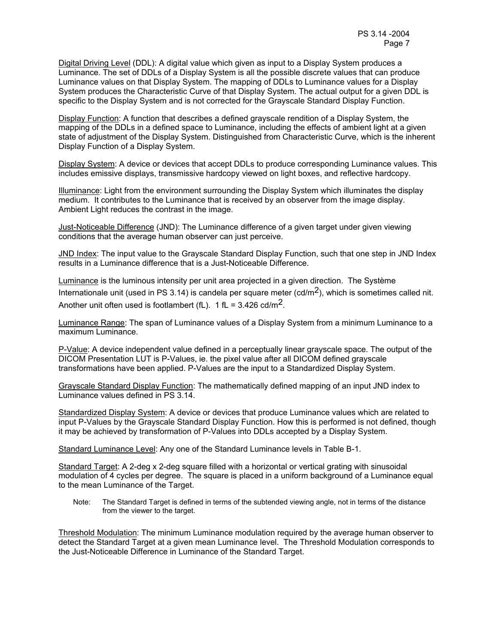Digital Driving Level (DDL): A digital value which given as input to a Display System produces a Luminance. The set of DDLs of a Display System is all the possible discrete values that can produce Luminance values on that Display System. The mapping of DDLs to Luminance values for a Display System produces the Characteristic Curve of that Display System. The actual output for a given DDL is specific to the Display System and is not corrected for the Grayscale Standard Display Function.

Display Function: A function that describes a defined grayscale rendition of a Display System, the mapping of the DDLs in a defined space to Luminance, including the effects of ambient light at a given state of adjustment of the Display System. Distinguished from Characteristic Curve, which is the inherent Display Function of a Display System.

Display System: A device or devices that accept DDLs to produce corresponding Luminance values. This includes emissive displays, transmissive hardcopy viewed on light boxes, and reflective hardcopy.

Illuminance: Light from the environment surrounding the Display System which illuminates the display medium. It contributes to the Luminance that is received by an observer from the image display. Ambient Light reduces the contrast in the image.

Just-Noticeable Difference (JND): The Luminance difference of a given target under given viewing conditions that the average human observer can just perceive.

JND Index: The input value to the Grayscale Standard Display Function, such that one step in JND Index results in a Luminance difference that is a Just-Noticeable Difference.

Luminance is the luminous intensity per unit area projected in a given direction. The Système Internationale unit (used in PS 3.14) is candela per square meter (cd/m<sup>2</sup>), which is sometimes called nit. Another unit often used is footlambert (fL). 1 fL =  $3.426$  cd/m<sup>2</sup>.

Luminance Range: The span of Luminance values of a Display System from a minimum Luminance to a maximum Luminance.

P-Value: A device independent value defined in a perceptually linear grayscale space. The output of the DICOM Presentation LUT is P-Values, ie. the pixel value after all DICOM defined grayscale transformations have been applied. P-Values are the input to a Standardized Display System.

Grayscale Standard Display Function: The mathematically defined mapping of an input JND index to Luminance values defined in PS 3.14.

Standardized Display System: A device or devices that produce Luminance values which are related to input P-Values by the Grayscale Standard Display Function. How this is performed is not defined, though it may be achieved by transformation of P-Values into DDLs accepted by a Display System.

Standard Luminance Level: Any one of the Standard Luminance levels in Table B-1.

Standard Target: A 2-deg x 2-deg square filled with a horizontal or vertical grating with sinusoidal modulation of 4 cycles per degree. The square is placed in a uniform background of a Luminance equal to the mean Luminance of the Target.

Note: The Standard Target is defined in terms of the subtended viewing angle, not in terms of the distance from the viewer to the target.

Threshold Modulation: The minimum Luminance modulation required by the average human observer to detect the Standard Target at a given mean Luminance level. The Threshold Modulation corresponds to the Just-Noticeable Difference in Luminance of the Standard Target.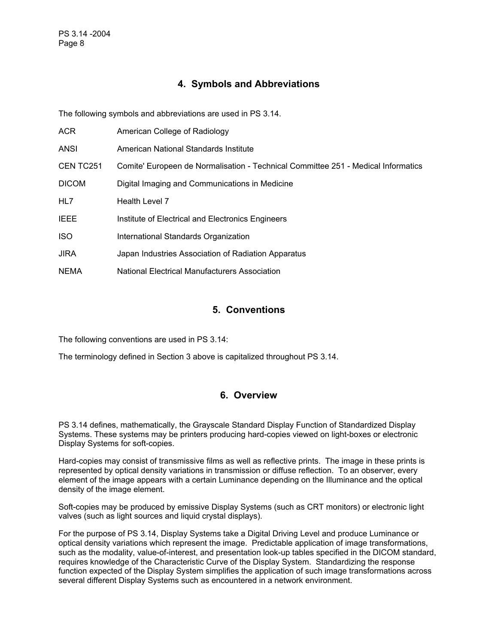### **4. Symbols and Abbreviations**

The following symbols and abbreviations are used in PS 3.14.

| ACR.         | American College of Radiology                                                     |
|--------------|-----------------------------------------------------------------------------------|
| <b>ANSI</b>  | American National Standards Institute                                             |
| CEN TC251    | Comite' Europeen de Normalisation - Technical Committee 251 - Medical Informatics |
| <b>DICOM</b> | Digital Imaging and Communications in Medicine                                    |
| HL7          | Health Level 7                                                                    |
| <b>IEEE</b>  | Institute of Electrical and Electronics Engineers                                 |
| <b>ISO</b>   | International Standards Organization                                              |
| <b>JIRA</b>  | Japan Industries Association of Radiation Apparatus                               |
| <b>NEMA</b>  | National Electrical Manufacturers Association                                     |
|              |                                                                                   |

### **5. Conventions**

The following conventions are used in PS 3.14:

The terminology defined in Section 3 above is capitalized throughout PS 3.14.

### **6. Overview**

PS 3.14 defines, mathematically, the Grayscale Standard Display Function of Standardized Display Systems. These systems may be printers producing hard-copies viewed on light-boxes or electronic Display Systems for soft-copies.

Hard-copies may consist of transmissive films as well as reflective prints. The image in these prints is represented by optical density variations in transmission or diffuse reflection. To an observer, every element of the image appears with a certain Luminance depending on the Illuminance and the optical density of the image element.

Soft-copies may be produced by emissive Display Systems (such as CRT monitors) or electronic light valves (such as light sources and liquid crystal displays).

For the purpose of PS 3.14, Display Systems take a Digital Driving Level and produce Luminance or optical density variations which represent the image. Predictable application of image transformations, such as the modality, value-of-interest, and presentation look-up tables specified in the DICOM standard, requires knowledge of the Characteristic Curve of the Display System. Standardizing the response function expected of the Display System simplifies the application of such image transformations across several different Display Systems such as encountered in a network environment.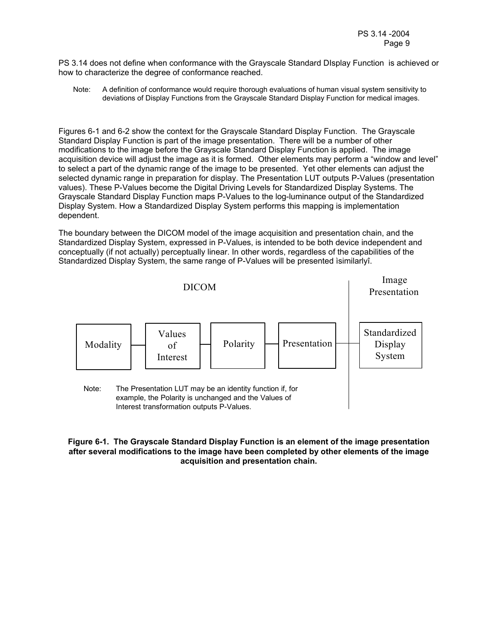PS 3.14 does not define when conformance with the Grayscale Standard DIsplay Function is achieved or how to characterize the degree of conformance reached.

Note: A definition of conformance would require thorough evaluations of human visual system sensitivity to deviations of Display Functions from the Grayscale Standard Display Function for medical images.

Figures 6-1 and 6-2 show the context for the Grayscale Standard Display Function. The Grayscale Standard Display Function is part of the image presentation. There will be a number of other modifications to the image before the Grayscale Standard Display Function is applied. The image acquisition device will adjust the image as it is formed. Other elements may perform a "window and level" to select a part of the dynamic range of the image to be presented. Yet other elements can adjust the selected dynamic range in preparation for display. The Presentation LUT outputs P-Values (presentation values). These P-Values become the Digital Driving Levels for Standardized Display Systems. The Grayscale Standard Display Function maps P-Values to the log-luminance output of the Standardized Display System. How a Standardized Display System performs this mapping is implementation dependent.

The boundary between the DICOM model of the image acquisition and presentation chain, and the Standardized Display System, expressed in P-Values, is intended to be both device independent and conceptually (if not actually) perceptually linear. In other words, regardless of the capabilities of the Standardized Display System, the same range of P-Values will be presented ìsimilarlyî.



#### **Figure 6-1. The Grayscale Standard Display Function is an element of the image presentation after several modifications to the image have been completed by other elements of the image acquisition and presentation chain.**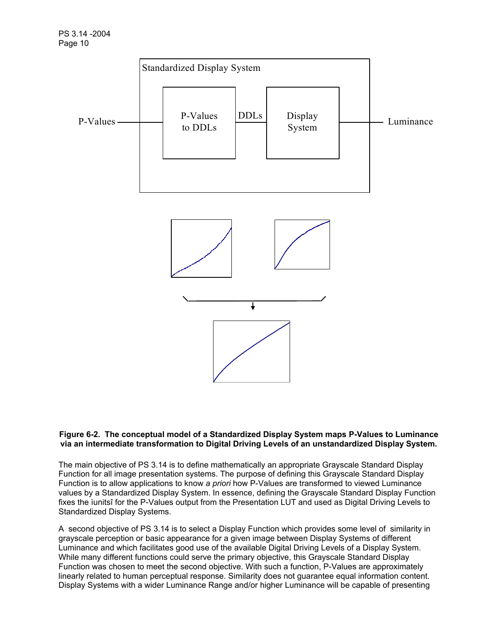

#### **Figure 6-2. The conceptual model of a Standardized Display System maps P-Values to Luminance via an intermediate transformation to Digital Driving Levels of an unstandardized Display System.**

The main objective of PS 3.14 is to define mathematically an appropriate Grayscale Standard Display Function for all image presentation systems. The purpose of defining this Grayscale Standard Display Function is to allow applications to know *a priori* how P-Values are transformed to viewed Luminance values by a Standardized Display System. In essence, defining the Grayscale Standard Display Function fixes the ìunitsî for the P-Values output from the Presentation LUT and used as Digital Driving Levels to Standardized Display Systems.

A second objective of PS 3.14 is to select a Display Function which provides some level of similarity in grayscale perception or basic appearance for a given image between Display Systems of different Luminance and which facilitates good use of the available Digital Driving Levels of a Display System. While many different functions could serve the primary objective, this Grayscale Standard Display Function was chosen to meet the second objective. With such a function, P-Values are approximately linearly related to human perceptual response. Similarity does not guarantee equal information content. Display Systems with a wider Luminance Range and/or higher Luminance will be capable of presenting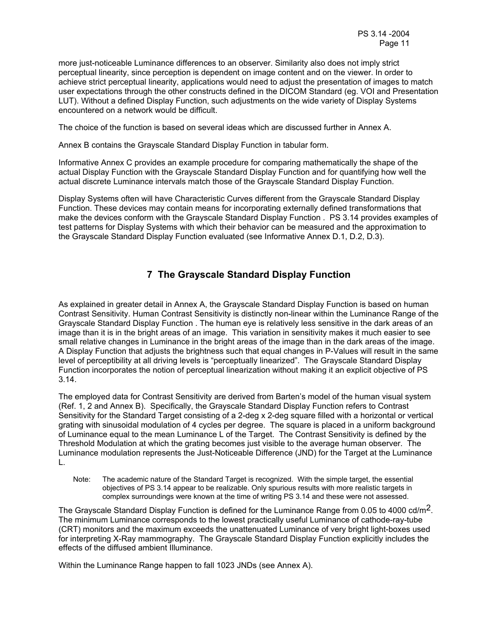more just-noticeable Luminance differences to an observer. Similarity also does not imply strict perceptual linearity, since perception is dependent on image content and on the viewer. In order to achieve strict perceptual linearity, applications would need to adjust the presentation of images to match user expectations through the other constructs defined in the DICOM Standard (eg. VOI and Presentation LUT). Without a defined Display Function, such adjustments on the wide variety of Display Systems encountered on a network would be difficult.

The choice of the function is based on several ideas which are discussed further in Annex A.

Annex B contains the Grayscale Standard Display Function in tabular form.

Informative Annex C provides an example procedure for comparing mathematically the shape of the actual Display Function with the Grayscale Standard Display Function and for quantifying how well the actual discrete Luminance intervals match those of the Grayscale Standard Display Function.

Display Systems often will have Characteristic Curves different from the Grayscale Standard Display Function. These devices may contain means for incorporating externally defined transformations that make the devices conform with the Grayscale Standard Display Function . PS 3.14 provides examples of test patterns for Display Systems with which their behavior can be measured and the approximation to the Grayscale Standard Display Function evaluated (see Informative Annex D.1, D.2, D.3).

### **7 The Grayscale Standard Display Function**

As explained in greater detail in Annex A, the Grayscale Standard Display Function is based on human Contrast Sensitivity. Human Contrast Sensitivity is distinctly non-linear within the Luminance Range of the Grayscale Standard Display Function . The human eye is relatively less sensitive in the dark areas of an image than it is in the bright areas of an image. This variation in sensitivity makes it much easier to see small relative changes in Luminance in the bright areas of the image than in the dark areas of the image. A Display Function that adjusts the brightness such that equal changes in P-Values will result in the same level of perceptibility at all driving levels is "perceptually linearized". The Grayscale Standard Display Function incorporates the notion of perceptual linearization without making it an explicit objective of PS 3.14.

The employed data for Contrast Sensitivity are derived from Barten's model of the human visual system (Ref. 1, 2 and Annex B). Specifically, the Grayscale Standard Display Function refers to Contrast Sensitivity for the Standard Target consisting of a 2-deg x 2-deg square filled with a horizontal or vertical grating with sinusoidal modulation of 4 cycles per degree. The square is placed in a uniform background of Luminance equal to the mean Luminance L of the Target. The Contrast Sensitivity is defined by the Threshold Modulation at which the grating becomes just visible to the average human observer. The Luminance modulation represents the Just-Noticeable Difference (JND) for the Target at the Luminance L.

Note: The academic nature of the Standard Target is recognized. With the simple target, the essential objectives of PS 3.14 appear to be realizable. Only spurious results with more realistic targets in complex surroundings were known at the time of writing PS 3.14 and these were not assessed.

The Grayscale Standard Display Function is defined for the Luminance Range from 0.05 to 4000 cd/m<sup>2</sup>. The minimum Luminance corresponds to the lowest practically useful Luminance of cathode-ray-tube (CRT) monitors and the maximum exceeds the unattenuated Luminance of very bright light-boxes used for interpreting X-Ray mammography. The Grayscale Standard Display Function explicitly includes the effects of the diffused ambient Illuminance.

Within the Luminance Range happen to fall 1023 JNDs (see Annex A).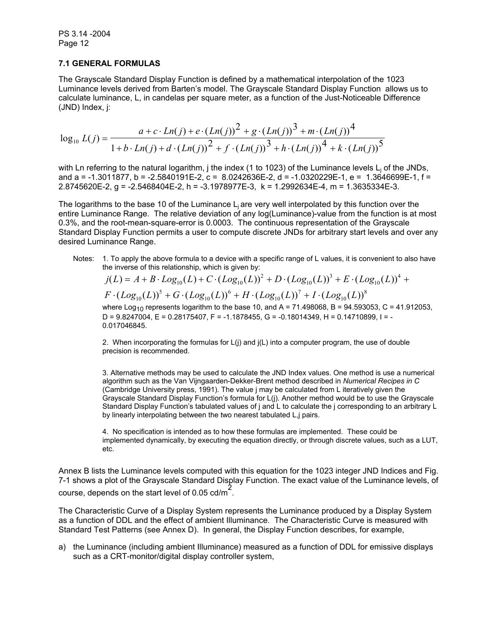#### **7.1 GENERAL FORMULAS**

The Grayscale Standard Display Function is defined by a mathematical interpolation of the 1023 Luminance levels derived from Barten's model. The Grayscale Standard Display Function allows us to calculate luminance, L, in candelas per square meter, as a function of the Just-Noticeable Difference (JND) Index, j:

$$
\log_{10} L(j) = \frac{a + c \cdot Ln(j) + e \cdot (Ln(j))^{2} + g \cdot (Ln(j))^{3} + m \cdot (Ln(j))^{4}}{1 + b \cdot Ln(j) + d \cdot (Ln(j))^{2} + f \cdot (Ln(j))^{3} + h \cdot (Ln(j))^{4} + k \cdot (Ln(j))^{5}}
$$

with Ln referring to the natural logarithm, j the index (1 to 1023) of the Luminance levels L<sub>i</sub> of the JNDs, and a = -1.3011877, b = -2.5840191E-2, c =  $8.0242636E-2$ , d = -1.0320229E-1, e =  $1.3646699E-1$ , f = 2.8745620E-2, g = -2.5468404E-2, h = -3.1978977E-3, k = 1.2992634E-4, m = 1.3635334E-3.

The logarithms to the base 10 of the Luminance  $L_i$  are very well interpolated by this function over the entire Luminance Range. The relative deviation of any log(Luminance)-value from the function is at most 0.3%, and the root-mean-square-error is 0.0003. The continuous representation of the Grayscale Standard Display Function permits a user to compute discrete JNDs for arbitrary start levels and over any desired Luminance Range.

Notes: 1. To apply the above formula to a device with a specific range of L values, it is convenient to also have the inverse of this relationship, which is given by:

$$
j(L) = A + B \cdot Log_{10}(L) + C \cdot (Log_{10}(L))^2 + D \cdot (Log_{10}(L))^3 + E \cdot (Log_{10}(L))^4 +
$$
  
\n
$$
F \cdot (Log_{10}(L))^5 + G \cdot (Log_{10}(L))^6 + H \cdot (Log_{10}(L))^7 + I \cdot (Log_{10}(L))^8
$$
  
\nwhere Log<sub>10</sub> represents logarithm to the base 10, and A = 71.498068, B = 94.593053, C = 41.912053,  
\nD = 9.8247004, E = 0.28175407, F = -1.1878455, G = -0.18014349, H = 0.14710899, I = -  
\n0.017046845.

2. When incorporating the formulas for  $L(i)$  and  $i(L)$  into a computer program, the use of double precision is recommended.

 3. Alternative methods may be used to calculate the JND Index values. One method is use a numerical algorithm such as the Van Vijngaarden-Dekker-Brent method described in *Numerical Recipes in C* (Cambridge University press, 1991). The value j may be calculated from L iteratively given the Grayscale Standard Display Function's formula for L(j). Another method would be to use the Grayscale Standard Display Function's tabulated values of j and L to calculate the j corresponding to an arbitrary L by linearly interpolating between the two nearest tabulated L,j pairs.

4. No specification is intended as to how these formulas are implemented. These could be implemented dynamically, by executing the equation directly, or through discrete values, such as a LUT, etc.

Annex B lists the Luminance levels computed with this equation for the 1023 integer JND Indices and Fig. 7-1 shows a plot of the Grayscale Standard Display Function. The exact value of the Luminance levels, of course, depends on the start level of 0.05 cd/m<sup>2</sup>.

The Characteristic Curve of a Display System represents the Luminance produced by a Display System as a function of DDL and the effect of ambient Illuminance. The Characteristic Curve is measured with Standard Test Patterns (see Annex D). In general, the Display Function describes, for example,

a) the Luminance (including ambient Illuminance) measured as a function of DDL for emissive displays such as a CRT-monitor/digital display controller system,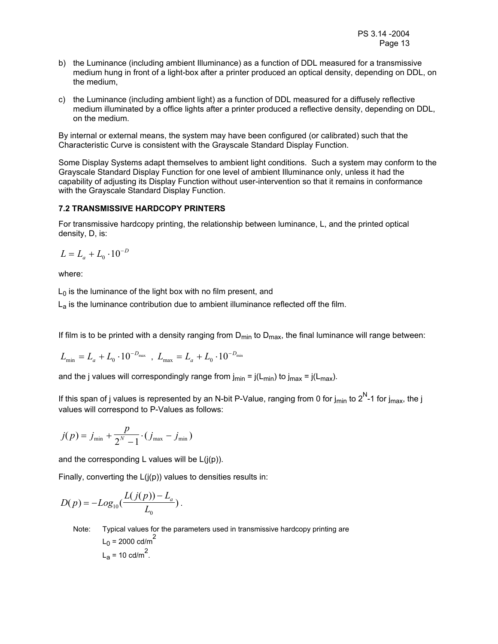- b) the Luminance (including ambient Illuminance) as a function of DDL measured for a transmissive medium hung in front of a light-box after a printer produced an optical density, depending on DDL, on the medium,
- c) the Luminance (including ambient light) as a function of DDL measured for a diffusely reflective medium illuminated by a office lights after a printer produced a reflective density, depending on DDL, on the medium.

By internal or external means, the system may have been configured (or calibrated) such that the Characteristic Curve is consistent with the Grayscale Standard Display Function.

Some Display Systems adapt themselves to ambient light conditions. Such a system may conform to the Grayscale Standard Display Function for one level of ambient Illuminance only, unless it had the capability of adjusting its Display Function without user-intervention so that it remains in conformance with the Grayscale Standard Display Function.

#### **7.2 TRANSMISSIVE HARDCOPY PRINTERS**

For transmissive hardcopy printing, the relationship between luminance, L, and the printed optical density, D, is:

$$
L = L_a + L_0 \cdot 10^{-D}
$$

where:

 $L_0$  is the luminance of the light box with no film present, and

 $L<sub>a</sub>$  is the luminance contribution due to ambient illuminance reflected off the film.

If film is to be printed with a density ranging from  $D_{min}$  to  $D_{max}$ , the final luminance will range between:

$$
L_{\rm min} = L_a + L_0 \cdot 10^{-D_{\rm max}} \ \ , \ L_{\rm max} = L_a + L_0 \cdot 10^{-D_{\rm min}}
$$

and the j values will correspondingly range from  $j_{min} = j(L_{min})$  to  $j_{max} = j(L_{max})$ .

If this span of j values is represented by an N-bit P-Value, ranging from 0 for j<sub>min</sub> to 2<sup>N</sup>-1 for j<sub>max</sub>, the j values will correspond to P-Values as follows:

$$
j(p) = j_{\min} + \frac{p}{2^N - 1} \cdot (j_{\max} - j_{\min})
$$

and the corresponding L values will be  $L(i(p))$ .

Finally, converting the  $L(j(p))$  values to densities results in:

$$
D(p) = -Log_{10}(\frac{L(j(p)) - L_a}{L_0}).
$$

Note: Typical values for the parameters used in transmissive hardcopy printing are  $L_0 = 2000 \text{ cd/m}^2$  $L_a = 10 \text{ cd/m}^2$ .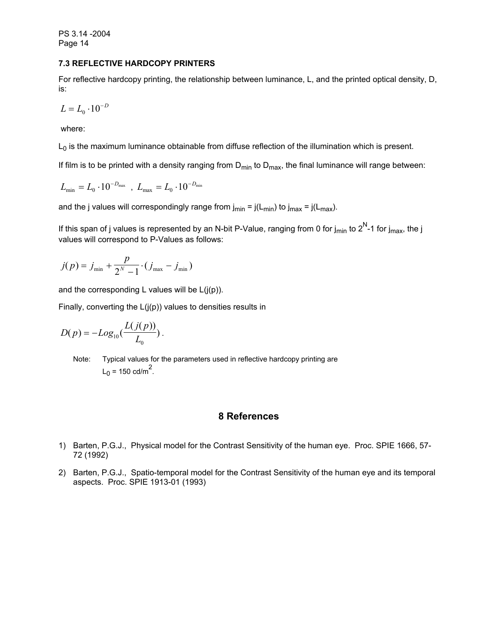#### **7.3 REFLECTIVE HARDCOPY PRINTERS**

For reflective hardcopy printing, the relationship between luminance, L, and the printed optical density, D, is:

$$
L = L_0 \cdot 10^{-D}
$$

where:

 $L_0$  is the maximum luminance obtainable from diffuse reflection of the illumination which is present.

If film is to be printed with a density ranging from  $D_{min}$  to  $D_{max}$ , the final luminance will range between:

$$
L_{\rm min} = L_0 \cdot 10^{-D_{\rm max}} \ \ , \ L_{\rm max} = L_0 \cdot 10^{-D_{\rm min}}
$$

and the j values will correspondingly range from  $j_{min} = j(L_{min})$  to  $j_{max} = j(L_{max})$ .

If this span of j values is represented by an N-bit P-Value, ranging from 0 for j<sub>min</sub> to 2<sup>N</sup>-1 for j<sub>max</sub>, the j values will correspond to P-Values as follows:

$$
j(p) = j_{\min} + \frac{p}{2^N - 1} \cdot (j_{\max} - j_{\min})
$$

and the corresponding L values will be  $L(j(p))$ .

Finally, converting the  $L(j(p))$  values to densities results in

$$
D(p) = -Log_{10}(\frac{L(j(p))}{L_0}).
$$

Note: Typical values for the parameters used in reflective hardcopy printing are  $L_0 = 150 \text{ cd/m}^2$ .

### **8 References**

- 1) Barten, P.G.J., Physical model for the Contrast Sensitivity of the human eye. Proc. SPIE 1666, 57- 72 (1992)
- 2) Barten, P.G.J., Spatio-temporal model for the Contrast Sensitivity of the human eye and its temporal aspects. Proc. SPIE 1913-01 (1993)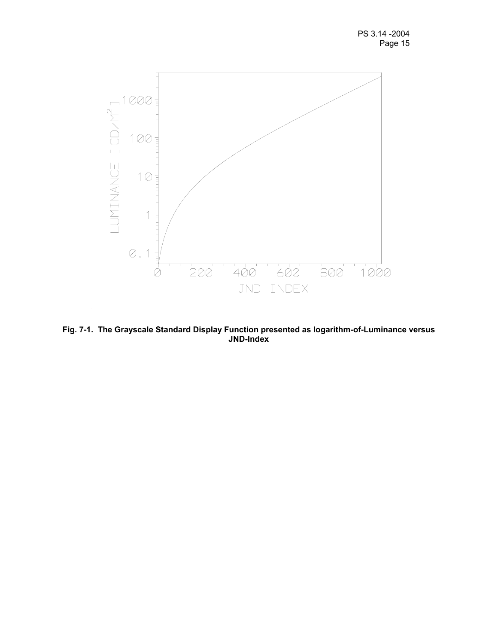

**Fig. 7-1. The Grayscale Standard Display Function presented as logarithm-of-Luminance versus JND-Index**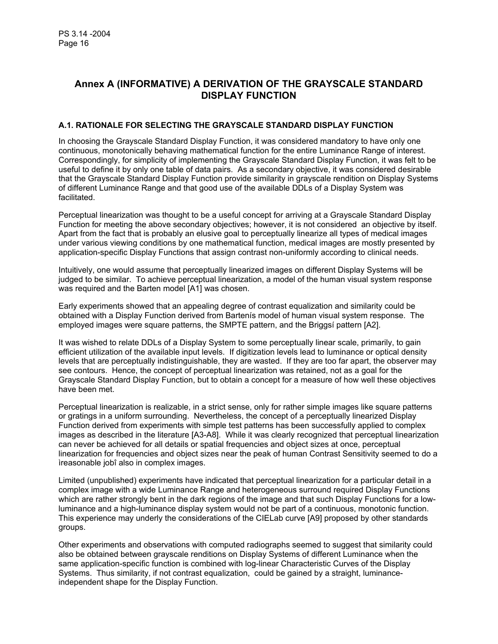### **Annex A (INFORMATIVE) A DERIVATION OF THE GRAYSCALE STANDARD DISPLAY FUNCTION**

#### **A.1. RATIONALE FOR SELECTING THE GRAYSCALE STANDARD DISPLAY FUNCTION**

In choosing the Grayscale Standard Display Function, it was considered mandatory to have only one continuous, monotonically behaving mathematical function for the entire Luminance Range of interest. Correspondingly, for simplicity of implementing the Grayscale Standard Display Function, it was felt to be useful to define it by only one table of data pairs. As a secondary objective, it was considered desirable that the Grayscale Standard Display Function provide similarity in grayscale rendition on Display Systems of different Luminance Range and that good use of the available DDLs of a Display System was facilitated.

Perceptual linearization was thought to be a useful concept for arriving at a Grayscale Standard Display Function for meeting the above secondary objectives; however, it is not considered an objective by itself. Apart from the fact that is probably an elusive goal to perceptually linearize all types of medical images under various viewing conditions by one mathematical function, medical images are mostly presented by application-specific Display Functions that assign contrast non-uniformly according to clinical needs.

Intuitively, one would assume that perceptually linearized images on different Display Systems will be judged to be similar. To achieve perceptual linearization, a model of the human visual system response was required and the Barten model [A1] was chosen.

Early experiments showed that an appealing degree of contrast equalization and similarity could be obtained with a Display Function derived from Bartenís model of human visual system response. The employed images were square patterns, the SMPTE pattern, and the Briggsí pattern [A2].

It was wished to relate DDLs of a Display System to some perceptually linear scale, primarily, to gain efficient utilization of the available input levels. If digitization levels lead to luminance or optical density levels that are perceptually indistinguishable, they are wasted. If they are too far apart, the observer may see contours. Hence, the concept of perceptual linearization was retained, not as a goal for the Grayscale Standard Display Function, but to obtain a concept for a measure of how well these objectives have been met.

Perceptual linearization is realizable, in a strict sense, only for rather simple images like square patterns or gratings in a uniform surrounding. Nevertheless, the concept of a perceptually linearized Display Function derived from experiments with simple test patterns has been successfully applied to complex images as described in the literature [A3-A8]. While it was clearly recognized that perceptual linearization can never be achieved for all details or spatial frequencies and object sizes at once, perceptual linearization for frequencies and object sizes near the peak of human Contrast Sensitivity seemed to do a ìreasonable jobî also in complex images.

Limited (unpublished) experiments have indicated that perceptual linearization for a particular detail in a complex image with a wide Luminance Range and heterogeneous surround required Display Functions which are rather strongly bent in the dark regions of the image and that such Display Functions for a lowluminance and a high-luminance display system would not be part of a continuous, monotonic function. This experience may underly the considerations of the CIELab curve [A9] proposed by other standards groups.

Other experiments and observations with computed radiographs seemed to suggest that similarity could also be obtained between grayscale renditions on Display Systems of different Luminance when the same application-specific function is combined with log-linear Characteristic Curves of the Display Systems. Thus similarity, if not contrast equalization, could be gained by a straight, luminanceindependent shape for the Display Function.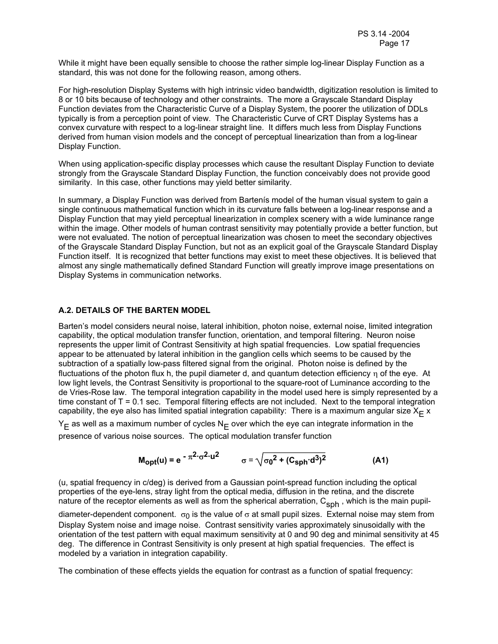While it might have been equally sensible to choose the rather simple log-linear Display Function as a standard, this was not done for the following reason, among others.

For high-resolution Display Systems with high intrinsic video bandwidth, digitization resolution is limited to 8 or 10 bits because of technology and other constraints. The more a Grayscale Standard Display Function deviates from the Characteristic Curve of a Display System, the poorer the utilization of DDLs typically is from a perception point of view. The Characteristic Curve of CRT Display Systems has a convex curvature with respect to a log-linear straight line. It differs much less from Display Functions derived from human vision models and the concept of perceptual linearization than from a log-linear Display Function.

When using application-specific display processes which cause the resultant Display Function to deviate strongly from the Grayscale Standard Display Function, the function conceivably does not provide good similarity. In this case, other functions may yield better similarity.

In summary, a Display Function was derived from Bartenís model of the human visual system to gain a single continuous mathematical function which in its curvature falls between a log-linear response and a Display Function that may yield perceptual linearization in complex scenery with a wide luminance range within the image. Other models of human contrast sensitivity may potentially provide a better function, but were not evaluated. The notion of perceptual linearization was chosen to meet the secondary objectives of the Grayscale Standard Display Function, but not as an explicit goal of the Grayscale Standard Display Function itself. It is recognized that better functions may exist to meet these objectives. It is believed that almost any single mathematically defined Standard Function will greatly improve image presentations on Display Systems in communication networks.

#### **A.2. DETAILS OF THE BARTEN MODEL**

Barten's model considers neural noise, lateral inhibition, photon noise, external noise, limited integration capability, the optical modulation transfer function, orientation, and temporal filtering. Neuron noise represents the upper limit of Contrast Sensitivity at high spatial frequencies. Low spatial frequencies appear to be attenuated by lateral inhibition in the ganglion cells which seems to be caused by the subtraction of a spatially low-pass filtered signal from the original. Photon noise is defined by the fluctuations of the photon flux h, the pupil diameter d, and quantum detection efficiency n of the eye. At low light levels, the Contrast Sensitivity is proportional to the square-root of Luminance according to the de Vries-Rose law. The temporal integration capability in the model used here is simply represented by a time constant of  $T = 0.1$  sec. Temporal filtering effects are not included. Next to the temporal integration capability, the eye also has limited spatial integration capability: There is a maximum angular size  $X_{\text{F}}$  x

 $Y_F$  as well as a maximum number of cycles N<sub>F</sub> over which the eye can integrate information in the presence of various noise sources. The optical modulation transfer function

$$
M_{opt}(u) = e^{-\pi^2 \cdot \sigma^2 \cdot u^2} \qquad \sigma = \sqrt{\sigma_0^2 + (C_{sph} \cdot d^3)^2}
$$
 (A1)

(u, spatial frequency in c/deg) is derived from a Gaussian point-spread function including the optical properties of the eye-lens, stray light from the optical media, diffusion in the retina, and the discrete nature of the receptor elements as well as from the spherical aberration,  $C_{sph}$ , which is the main pupil-

diameter-dependent component.  $\sigma_0$  is the value of  $\sigma$  at small pupil sizes. External noise may stem from Display System noise and image noise. Contrast sensitivity varies approximately sinusoidally with the orientation of the test pattern with equal maximum sensitivity at 0 and 90 deg and minimal sensitivity at 45 deg. The difference in Contrast Sensitivity is only present at high spatial frequencies. The effect is modeled by a variation in integration capability.

The combination of these effects yields the equation for contrast as a function of spatial frequency: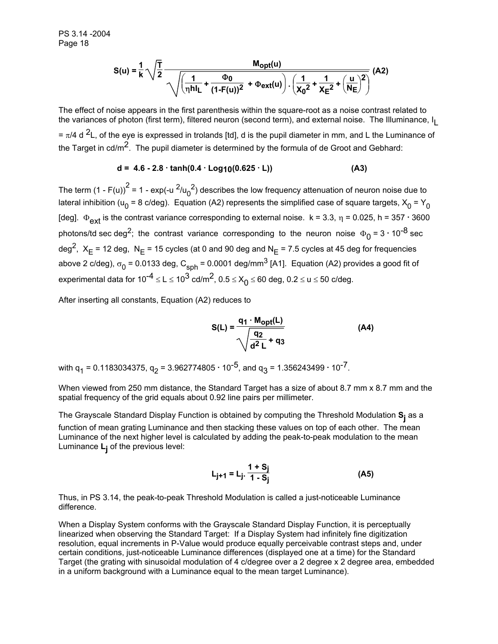$$
S(u) = \frac{1}{k} \sqrt{\frac{T}{2}} \frac{M_{opt}(u)}{\sqrt{\left(\frac{1}{\eta h l_L} + \frac{\Phi_0}{(1 - F(u))^2} + \Phi_{ext}(u)\right) \cdot \left(\frac{1}{X_0^2} + \frac{1}{X_E^2} + \left(\frac{u}{N_E}\right)^2\right)}} (A2)
$$

The effect of noise appears in the first parenthesis within the square-root as a noise contrast related to the variances of photon (first term), filtered neuron (second term), and external noise. The Illuminance, I<sub>L</sub>  $= \pi/4$  d  ${}^2$ L, of the eye is expressed in trolands [td], d is the pupil diameter in mm, and L the Luminance of the Target in  $cd/m^2$ . The pupil diameter is determined by the formula of de Groot and Gebhard:

#### **d = 4.6 - 2.8 . tanh(0.4 . Log10(0.625 . L)) (A3)**

The term (1 - F(u))<sup>2</sup> = 1 - exp(-u <sup>2</sup>/u<sub>0</sub><sup>2</sup>) describes the low frequency attenuation of neuron noise due to lateral inhibition (u<sub>0</sub> = 8 c/deg). Equation (A2) represents the simplified case of square targets,  $X_0 = Y_0$ [deg].  $\Phi_{ext}$  is the contrast variance corresponding to external noise.  $k = 3.3$ ,  $\eta = 0.025$ , h = 357  $\cdot$  3600 photons/td sec deg<sup>2</sup>; the contrast variance corresponding to the neuron noise  $\Phi_0 = 3 \cdot 10^{-8}$  sec deg<sup>2</sup>,  $X_F$  = 12 deg, N<sub>F</sub> = 15 cycles (at 0 and 90 deg and N<sub>E</sub> = 7.5 cycles at 45 deg for frequencies above 2 c/deg),  $\sigma_0$  = 0.0133 deg, C<sub>sph</sub> = 0.0001 deg/mm<sup>3</sup> [A1]. Equation (A2) provides a good fit of experimental data for  $10^{-4} \le L \le 10^3$  cd/m<sup>2</sup>,  $0.5 \le X_0 \le 60$  deg,  $0.2 \le u \le 50$  c/deg.

After inserting all constants, Equation (A2) reduces to

$$
S(L) = \frac{q_1 \cdot M_{opt}(L)}{\sqrt{\frac{q_2}{d^2 L} + q_3}}
$$
 (A4)

with  $q_1 = 0.1183034375$ ,  $q_2 = 3.962774805 \cdot 10^{-5}$ , and  $q_3 = 1.356243499 \cdot 10^{-7}$ .

When viewed from 250 mm distance, the Standard Target has a size of about 8.7 mm x 8.7 mm and the spatial frequency of the grid equals about 0.92 line pairs per millimeter.

The Grayscale Standard Display Function is obtained by computing the Threshold Modulation **S<sub>j</sub> as a** function of mean grating Luminance and then stacking these values on top of each other. The mean Luminance of the next higher level is calculated by adding the peak-to-peak modulation to the mean Luminance **Lj** of the previous level:

$$
L_{j+1} = L_j \cdot \frac{1 + S_j}{1 - S_j}
$$
 (A5)

Thus, in PS 3.14, the peak-to-peak Threshold Modulation is called a just-noticeable Luminance difference.

When a Display System conforms with the Grayscale Standard Display Function, it is perceptually linearized when observing the Standard Target: If a Display System had infinitely fine digitization resolution, equal increments in P-Value would produce equally perceivable contrast steps and, under certain conditions, just-noticeable Luminance differences (displayed one at a time) for the Standard Target (the grating with sinusoidal modulation of 4 c/degree over a 2 degree x 2 degree area, embedded in a uniform background with a Luminance equal to the mean target Luminance).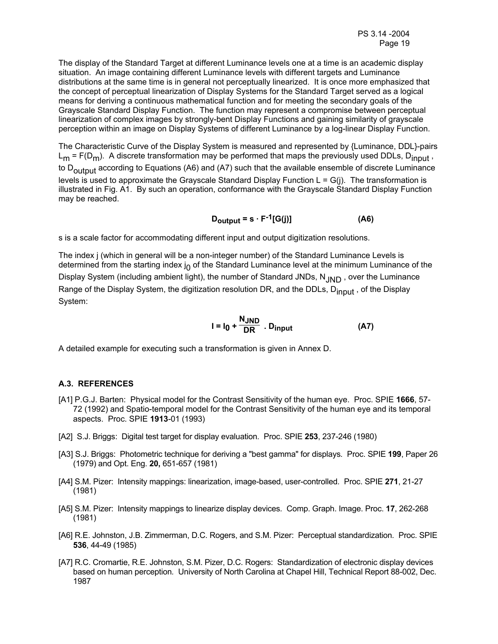The display of the Standard Target at different Luminance levels one at a time is an academic display situation. An image containing different Luminance levels with different targets and Luminance distributions at the same time is in general not perceptually linearized. It is once more emphasized that the concept of perceptual linearization of Display Systems for the Standard Target served as a logical means for deriving a continuous mathematical function and for meeting the secondary goals of the Grayscale Standard Display Function. The function may represent a compromise between perceptual linearization of complex images by strongly-bent Display Functions and gaining similarity of grayscale perception within an image on Display Systems of different Luminance by a log-linear Display Function.

The Characteristic Curve of the Display System is measured and represented by {Luminance, DDL}-pairs  $L_m$  = F(D<sub>m</sub>). A discrete transformation may be performed that maps the previously used DDLs, D<sub>input</sub>, to D<sub>output</sub> according to Equations (A6) and (A7) such that the available ensemble of discrete Luminance levels is used to approximate the Grayscale Standard Display Function  $L = G(j)$ . The transformation is illustrated in Fig. A1. By such an operation, conformance with the Grayscale Standard Display Function may be reached.

$$
D_{\text{output}} = s \cdot F^{-1}[G(j)] \tag{A6}
$$

s is a scale factor for accommodating different input and output digitization resolutions.

The index j (which in general will be a non-integer number) of the Standard Luminance Levels is determined from the starting index  $\mathbf{j}_0$  of the Standard Luminance level at the minimum Luminance of the Display System (including ambient light), the number of Standard JNDs, N<sub>JND</sub>, over the Luminance Range of the Display System, the digitization resolution DR, and the DDLs, D<sub>input</sub>, of the Display System:

$$
I = I_0 + \frac{N_{JND}}{DR} \cdot D_{input} \tag{A7}
$$

A detailed example for executing such a transformation is given in Annex D.

#### **A.3. REFERENCES**

- [A1] P.G.J. Barten: Physical model for the Contrast Sensitivity of the human eye. Proc. SPIE **1666**, 57- 72 (1992) and Spatio-temporal model for the Contrast Sensitivity of the human eye and its temporal aspects. Proc. SPIE **1913**-01 (1993)
- [A2] S.J. Briggs:Digital test target for display evaluation*.* Proc. SPIE **253**, 237-246 (1980)
- [A3] S.J. Briggs: Photometric technique for deriving a "best gamma" for displays*.* Proc. SPIE **199**, Paper 26 (1979) and Opt. Eng. **20,** 651-657 (1981)
- [A4] S.M. Pizer:Intensity mappings: linearization, image-based, user-controlled*.* Proc. SPIE **271**, 21-27 (1981)
- [A5] S.M. Pizer:Intensity mappings to linearize display devices*.* Comp. Graph. Image. Proc. **17**, 262-268 (1981)
- [A6] R.E. Johnston, J.B. Zimmerman, D.C. Rogers, and S.M. Pizer:Perceptual standardization*.* Proc. SPIE **536**, 44-49 (1985)
- [A7] R.C. Cromartie, R.E. Johnston, S.M. Pizer, D.C. Rogers:Standardization of electronic display devices based on human perception*.* University of North Carolina at Chapel Hill, Technical Report 88-002, Dec. 1987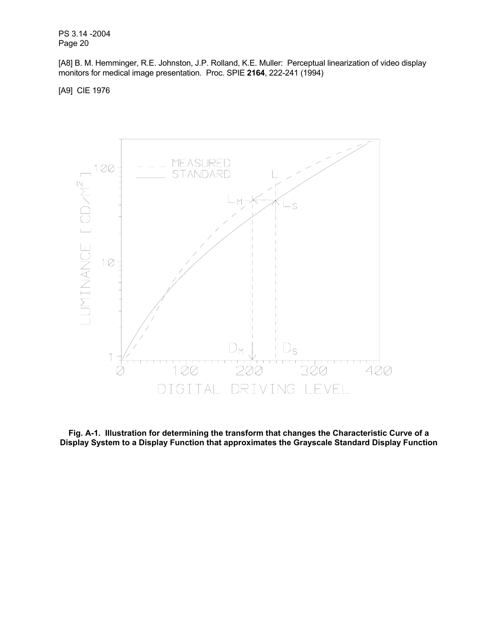[A8] B. M. Hemminger, R.E. Johnston, J.P. Rolland, K.E. Muller:Perceptual linearization of video display monitors for medical image presentation*.* Proc. SPIE **2164**, 222-241 (1994)

[A9] CIE 1976



**Fig. A-1. Illustration for determining the transform that changes the Characteristic Curve of a Display System to a Display Function that approximates the Grayscale Standard Display Function**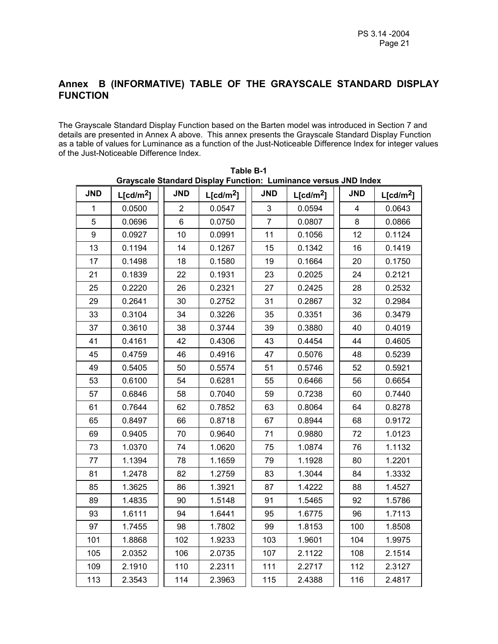### **Annex B (INFORMATIVE) TABLE OF THE GRAYSCALE STANDARD DISPLAY FUNCTION**

The Grayscale Standard Display Function based on the Barten model was introduced in Section 7 and details are presented in Annex A above. This annex presents the Grayscale Standard Display Function as a table of values for Luminance as a function of the Just-Noticeable Difference Index for integer values of the Just-Noticeable Difference Index.

|              |                       |                | Grayscale Standard Display Function:  Luminance versus JND index |                |                       |            |                       |
|--------------|-----------------------|----------------|------------------------------------------------------------------|----------------|-----------------------|------------|-----------------------|
| <b>JND</b>   | L[cd/m <sup>2</sup> ] | <b>JND</b>     | L[cd/m <sup>2</sup> ]                                            | <b>JND</b>     | L[cd/m <sup>2</sup> ] | <b>JND</b> | L[cd/m <sup>2</sup> ] |
| $\mathbf{1}$ | 0.0500                | $\overline{2}$ | 0.0547                                                           | 3              | 0.0594                | 4          | 0.0643                |
| 5            | 0.0696                | 6              | 0.0750                                                           | $\overline{7}$ | 0.0807                | 8          | 0.0866                |
| 9            | 0.0927                | 10             | 0.0991                                                           | 11             | 0.1056                | 12         | 0.1124                |
| 13           | 0.1194                | 14             | 0.1267                                                           | 15             | 0.1342                | 16         | 0.1419                |
| 17           | 0.1498                | 18             | 0.1580                                                           | 19             | 0.1664                | 20         | 0.1750                |
| 21           | 0.1839                | 22             | 0.1931                                                           | 23             | 0.2025                | 24         | 0.2121                |
| 25           | 0.2220                | 26             | 0.2321                                                           | 27             | 0.2425                | 28         | 0.2532                |
| 29           | 0.2641                | 30             | 0.2752                                                           | 31             | 0.2867                | 32         | 0.2984                |
| 33           | 0.3104                | 34             | 0.3226                                                           | 35             | 0.3351                | 36         | 0.3479                |
| 37           | 0.3610                | 38             | 0.3744                                                           | 39             | 0.3880                | 40         | 0.4019                |
| 41           | 0.4161                | 42             | 0.4306                                                           | 43             | 0.4454                | 44         | 0.4605                |
| 45           | 0.4759                | 46             | 0.4916                                                           | 47             | 0.5076                | 48         | 0.5239                |
| 49           | 0.5405                | 50             | 0.5574                                                           | 51             | 0.5746                | 52         | 0.5921                |
| 53           | 0.6100                | 54             | 0.6281                                                           | 55             | 0.6466                | 56         | 0.6654                |
| 57           | 0.6846                | 58             | 0.7040                                                           | 59             | 0.7238                | 60         | 0.7440                |
| 61           | 0.7644                | 62             | 0.7852                                                           | 63             | 0.8064                | 64         | 0.8278                |
| 65           | 0.8497                | 66             | 0.8718                                                           | 67             | 0.8944                | 68         | 0.9172                |
| 69           | 0.9405                | 70             | 0.9640                                                           | 71             | 0.9880                | 72         | 1.0123                |
| 73           | 1.0370                | 74             | 1.0620                                                           | 75             | 1.0874                | 76         | 1.1132                |
| 77           | 1.1394                | 78             | 1.1659                                                           | 79             | 1.1928                | 80         | 1.2201                |
| 81           | 1.2478                | 82             | 1.2759                                                           | 83             | 1.3044                | 84         | 1.3332                |
| 85           | 1.3625                | 86             | 1.3921                                                           | 87             | 1.4222                | 88         | 1.4527                |
| 89           | 1.4835                | 90             | 1.5148                                                           | 91             | 1.5465                | 92         | 1.5786                |
| 93           | 1.6111                | 94             | 1.6441                                                           | 95             | 1.6775                | 96         | 1.7113                |
| 97           | 1.7455                | 98             | 1.7802                                                           | 99             | 1.8153                | 100        | 1.8508                |
| 101          | 1.8868                | 102            | 1.9233                                                           | 103            | 1.9601                | 104        | 1.9975                |
| 105          | 2.0352                | 106            | 2.0735                                                           | 107            | 2.1122                | 108        | 2.1514                |
| 109          | 2.1910                | 110            | 2.2311                                                           | 111            | 2.2717                | 112        | 2.3127                |
| 113          | 2.3543                | 114            | 2.3963                                                           | 115            | 2.4388                | 116        | 2.4817                |

**Table B-1 Grayscale Standard Display Function: Luminance versus JND Index**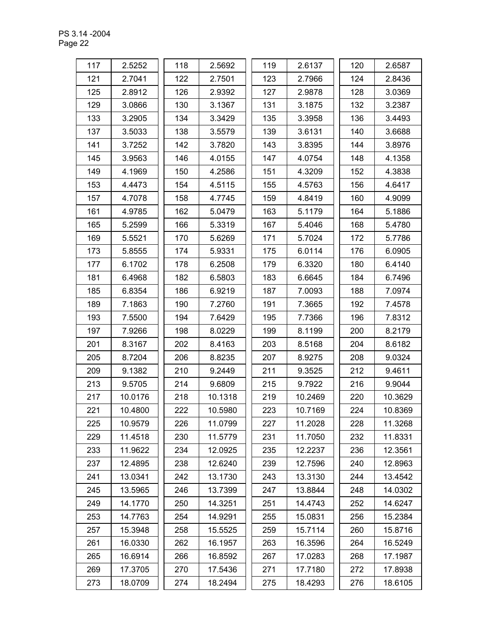| 117 | 2.5252  | 118 | 2.5692  | 119 | 2.6137  | 120 | 2.6587  |
|-----|---------|-----|---------|-----|---------|-----|---------|
| 121 | 2.7041  | 122 | 2.7501  | 123 | 2.7966  | 124 | 2.8436  |
| 125 | 2.8912  | 126 | 2.9392  | 127 | 2.9878  | 128 | 3.0369  |
| 129 | 3.0866  | 130 | 3.1367  | 131 | 3.1875  | 132 | 3.2387  |
| 133 | 3.2905  | 134 | 3.3429  | 135 | 3.3958  | 136 | 3.4493  |
| 137 | 3.5033  | 138 | 3.5579  | 139 | 3.6131  | 140 | 3.6688  |
| 141 | 3.7252  | 142 | 3.7820  | 143 | 3.8395  | 144 | 3.8976  |
| 145 | 3.9563  | 146 | 4.0155  | 147 | 4.0754  | 148 | 4.1358  |
| 149 | 4.1969  | 150 | 4.2586  | 151 | 4.3209  | 152 | 4.3838  |
| 153 | 4.4473  | 154 | 4.5115  | 155 | 4.5763  | 156 | 4.6417  |
| 157 | 4.7078  | 158 | 4.7745  | 159 | 4.8419  | 160 | 4.9099  |
| 161 | 4.9785  | 162 | 5.0479  | 163 | 5.1179  | 164 | 5.1886  |
| 165 | 5.2599  | 166 | 5.3319  | 167 | 5.4046  | 168 | 5.4780  |
| 169 | 5.5521  | 170 | 5.6269  | 171 | 5.7024  | 172 | 5.7786  |
| 173 | 5.8555  | 174 | 5.9331  | 175 | 6.0114  | 176 | 6.0905  |
| 177 | 6.1702  | 178 | 6.2508  | 179 | 6.3320  | 180 | 6.4140  |
| 181 | 6.4968  | 182 | 6.5803  | 183 | 6.6645  | 184 | 6.7496  |
| 185 | 6.8354  | 186 | 6.9219  | 187 | 7.0093  | 188 | 7.0974  |
| 189 | 7.1863  | 190 | 7.2760  | 191 | 7.3665  | 192 | 7.4578  |
| 193 | 7.5500  | 194 | 7.6429  | 195 | 7.7366  | 196 | 7.8312  |
| 197 | 7.9266  | 198 | 8.0229  | 199 | 8.1199  | 200 | 8.2179  |
| 201 | 8.3167  | 202 | 8.4163  | 203 | 8.5168  | 204 | 8.6182  |
| 205 | 8.7204  | 206 | 8.8235  | 207 | 8.9275  | 208 | 9.0324  |
| 209 | 9.1382  | 210 | 9.2449  | 211 | 9.3525  | 212 | 9.4611  |
| 213 | 9.5705  | 214 | 9.6809  | 215 | 9.7922  | 216 | 9.9044  |
| 217 | 10.0176 | 218 | 10.1318 | 219 | 10.2469 | 220 | 10.3629 |
| 221 | 10.4800 | 222 | 10.5980 | 223 | 10.7169 | 224 | 10.8369 |
| 225 | 10.9579 | 226 | 11.0799 | 227 | 11.2028 | 228 | 11.3268 |
| 229 | 11.4518 | 230 | 11.5779 | 231 | 11.7050 | 232 | 11.8331 |
| 233 | 11.9622 | 234 | 12.0925 | 235 | 12.2237 | 236 | 12.3561 |
| 237 | 12.4895 | 238 | 12.6240 | 239 | 12.7596 | 240 | 12.8963 |
| 241 | 13.0341 | 242 | 13.1730 | 243 | 13.3130 | 244 | 13.4542 |
| 245 | 13.5965 | 246 | 13.7399 | 247 | 13.8844 | 248 | 14.0302 |
| 249 | 14.1770 | 250 | 14.3251 | 251 | 14.4743 | 252 | 14.6247 |
| 253 | 14.7763 | 254 | 14.9291 | 255 | 15.0831 | 256 | 15.2384 |
| 257 | 15.3948 | 258 | 15.5525 | 259 | 15.7114 | 260 | 15.8716 |
| 261 | 16.0330 | 262 | 16.1957 | 263 | 16.3596 | 264 | 16.5249 |
| 265 | 16.6914 | 266 | 16.8592 | 267 | 17.0283 | 268 | 17.1987 |
| 269 | 17.3705 | 270 | 17.5436 | 271 | 17.7180 | 272 | 17.8938 |
| 273 | 18.0709 | 274 | 18.2494 | 275 | 18.4293 | 276 | 18.6105 |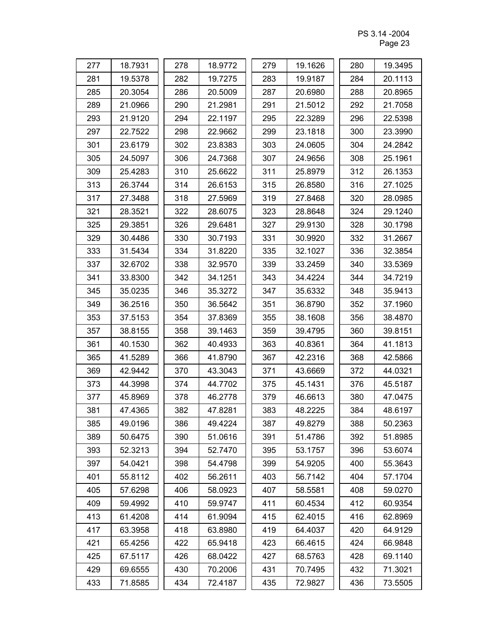| 277 | 18.7931 | 278 | 18.9772 | 279 | 19.1626 | 280 | 19.3495 |
|-----|---------|-----|---------|-----|---------|-----|---------|
| 281 | 19.5378 | 282 | 19.7275 | 283 | 19.9187 | 284 | 20.1113 |
| 285 | 20.3054 | 286 | 20.5009 | 287 | 20.6980 | 288 | 20.8965 |
| 289 | 21.0966 | 290 | 21.2981 | 291 | 21.5012 | 292 | 21.7058 |
| 293 | 21.9120 | 294 | 22.1197 | 295 | 22.3289 | 296 | 22.5398 |
| 297 | 22.7522 | 298 | 22.9662 | 299 | 23.1818 | 300 | 23.3990 |
| 301 | 23.6179 | 302 | 23.8383 | 303 | 24.0605 | 304 | 24.2842 |
| 305 | 24.5097 | 306 | 24.7368 | 307 | 24.9656 | 308 | 25.1961 |
| 309 | 25.4283 | 310 | 25.6622 | 311 | 25.8979 | 312 | 26.1353 |
| 313 | 26.3744 | 314 | 26.6153 | 315 | 26.8580 | 316 | 27.1025 |
| 317 | 27.3488 | 318 | 27.5969 | 319 | 27.8468 | 320 | 28.0985 |
| 321 | 28.3521 | 322 | 28.6075 | 323 | 28.8648 | 324 | 29.1240 |
| 325 | 29.3851 | 326 | 29.6481 | 327 | 29.9130 | 328 | 30.1798 |
| 329 | 30.4486 | 330 | 30.7193 | 331 | 30.9920 | 332 | 31.2667 |
| 333 | 31.5434 | 334 | 31.8220 | 335 | 32.1027 | 336 | 32.3854 |
| 337 | 32.6702 | 338 | 32.9570 | 339 | 33.2459 | 340 | 33.5369 |
| 341 | 33.8300 | 342 | 34.1251 | 343 | 34.4224 | 344 | 34.7219 |
| 345 | 35.0235 | 346 | 35.3272 | 347 | 35.6332 | 348 | 35.9413 |
| 349 | 36.2516 | 350 | 36.5642 | 351 | 36.8790 | 352 | 37.1960 |
| 353 | 37.5153 | 354 | 37.8369 | 355 | 38.1608 | 356 | 38.4870 |
| 357 | 38.8155 | 358 | 39.1463 | 359 | 39.4795 | 360 | 39.8151 |
| 361 | 40.1530 | 362 | 40.4933 | 363 | 40.8361 | 364 | 41.1813 |
| 365 | 41.5289 | 366 | 41.8790 | 367 | 42.2316 | 368 | 42.5866 |
| 369 | 42.9442 | 370 | 43.3043 | 371 | 43.6669 | 372 | 44.0321 |
| 373 | 44.3998 | 374 | 44.7702 | 375 | 45.1431 | 376 | 45.5187 |
| 377 | 45.8969 | 378 | 46.2778 | 379 | 46.6613 | 380 | 47.0475 |
| 381 | 47.4365 | 382 | 47.8281 | 383 | 48.2225 | 384 | 48.6197 |
| 385 | 49.0196 | 386 | 49.4224 | 387 | 49.8279 | 388 | 50.2363 |
| 389 | 50.6475 | 390 | 51.0616 | 391 | 51.4786 | 392 | 51.8985 |
| 393 | 52.3213 | 394 | 52.7470 | 395 | 53.1757 | 396 | 53.6074 |
| 397 | 54.0421 | 398 | 54.4798 | 399 | 54.9205 | 400 | 55.3643 |
| 401 | 55.8112 | 402 | 56.2611 | 403 | 56.7142 | 404 | 57.1704 |
| 405 | 57.6298 | 406 | 58.0923 | 407 | 58.5581 | 408 | 59.0270 |
| 409 | 59.4992 | 410 | 59.9747 | 411 | 60.4534 | 412 | 60.9354 |
| 413 | 61.4208 | 414 | 61.9094 | 415 | 62.4015 | 416 | 62.8969 |
| 417 | 63.3958 | 418 | 63.8980 | 419 | 64.4037 | 420 | 64.9129 |
| 421 | 65.4256 | 422 | 65.9418 | 423 | 66.4615 | 424 | 66.9848 |
| 425 | 67.5117 | 426 | 68.0422 | 427 | 68.5763 | 428 | 69.1140 |
| 429 | 69.6555 | 430 | 70.2006 | 431 | 70.7495 | 432 | 71.3021 |
| 433 | 71.8585 | 434 | 72.4187 | 435 | 72.9827 | 436 | 73.5505 |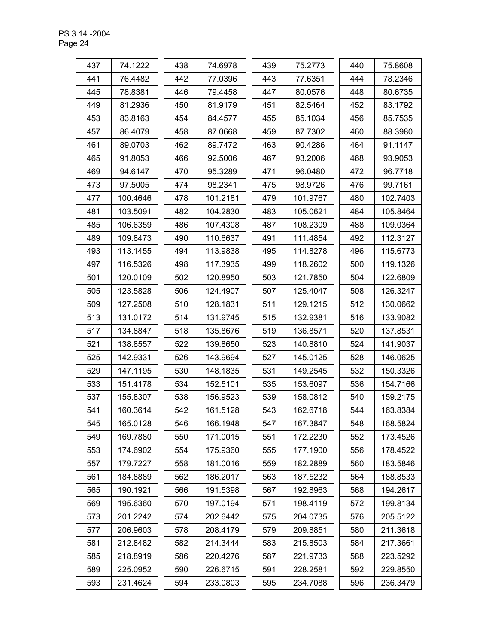| 437 | 74.1222  | 438 | 74.6978  | 439 | 75.2773  | 440 | 75.8608  |
|-----|----------|-----|----------|-----|----------|-----|----------|
| 441 | 76.4482  | 442 | 77.0396  | 443 | 77.6351  | 444 | 78.2346  |
| 445 | 78.8381  | 446 | 79.4458  | 447 | 80.0576  | 448 | 80.6735  |
| 449 | 81.2936  | 450 | 81.9179  | 451 | 82.5464  | 452 | 83.1792  |
| 453 | 83.8163  | 454 | 84.4577  | 455 | 85.1034  | 456 | 85.7535  |
| 457 | 86.4079  | 458 | 87.0668  | 459 | 87.7302  | 460 | 88.3980  |
| 461 | 89.0703  | 462 | 89.7472  | 463 | 90.4286  | 464 | 91.1147  |
| 465 | 91.8053  | 466 | 92.5006  | 467 | 93.2006  | 468 | 93.9053  |
| 469 | 94.6147  | 470 | 95.3289  | 471 | 96.0480  | 472 | 96.7718  |
| 473 | 97.5005  | 474 | 98.2341  | 475 | 98.9726  | 476 | 99.7161  |
| 477 | 100.4646 | 478 | 101.2181 | 479 | 101.9767 | 480 | 102.7403 |
| 481 | 103.5091 | 482 | 104.2830 | 483 | 105.0621 | 484 | 105.8464 |
| 485 | 106.6359 | 486 | 107.4308 | 487 | 108.2309 | 488 | 109.0364 |
| 489 | 109.8473 | 490 | 110.6637 | 491 | 111.4854 | 492 | 112.3127 |
| 493 | 113.1455 | 494 | 113.9838 | 495 | 114.8278 | 496 | 115.6773 |
| 497 | 116.5326 | 498 | 117.3935 | 499 | 118.2602 | 500 | 119.1326 |
| 501 | 120.0109 | 502 | 120.8950 | 503 | 121.7850 | 504 | 122.6809 |
| 505 | 123.5828 | 506 | 124.4907 | 507 | 125.4047 | 508 | 126.3247 |
| 509 | 127.2508 | 510 | 128.1831 | 511 | 129.1215 | 512 | 130.0662 |
| 513 | 131.0172 | 514 | 131.9745 | 515 | 132.9381 | 516 | 133.9082 |
| 517 | 134.8847 | 518 | 135.8676 | 519 | 136.8571 | 520 | 137.8531 |
| 521 | 138.8557 | 522 | 139.8650 | 523 | 140.8810 | 524 | 141.9037 |
| 525 | 142.9331 | 526 | 143.9694 | 527 | 145.0125 | 528 | 146.0625 |
| 529 | 147.1195 | 530 | 148.1835 | 531 | 149.2545 | 532 | 150.3326 |
| 533 | 151.4178 | 534 | 152.5101 | 535 | 153.6097 | 536 | 154.7166 |
| 537 | 155.8307 | 538 | 156.9523 | 539 | 158.0812 | 540 | 159.2175 |
| 541 | 160.3614 | 542 | 161.5128 | 543 | 162.6718 | 544 | 163.8384 |
| 545 | 165.0128 | 546 | 166.1948 | 547 | 167.3847 | 548 | 168.5824 |
| 549 | 169.7880 | 550 | 171.0015 | 551 | 172.2230 | 552 | 173.4526 |
| 553 | 174.6902 | 554 | 175.9360 | 555 | 177.1900 | 556 | 178.4522 |
| 557 | 179.7227 | 558 | 181.0016 | 559 | 182.2889 | 560 | 183.5846 |
| 561 | 184.8889 | 562 | 186.2017 | 563 | 187.5232 | 564 | 188.8533 |
| 565 | 190.1921 | 566 | 191.5398 | 567 | 192.8963 | 568 | 194.2617 |
| 569 | 195.6360 | 570 | 197.0194 | 571 | 198.4119 | 572 | 199.8134 |
| 573 | 201.2242 | 574 | 202.6442 | 575 | 204.0735 | 576 | 205.5122 |
| 577 | 206.9603 | 578 | 208.4179 | 579 | 209.8851 | 580 | 211.3618 |
| 581 | 212.8482 | 582 | 214.3444 | 583 | 215.8503 | 584 | 217.3661 |
| 585 | 218.8919 | 586 | 220.4276 | 587 | 221.9733 | 588 | 223.5292 |
| 589 | 225.0952 | 590 | 226.6715 | 591 | 228.2581 | 592 | 229.8550 |
| 593 | 231.4624 | 594 | 233.0803 | 595 | 234.7088 | 596 | 236.3479 |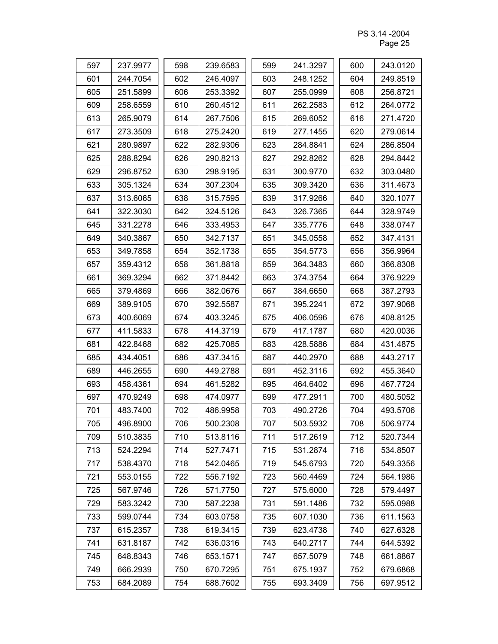PS 3.14 -2004 Page 25 and the contract of the contract of the contract of the contract of the contract of the contract of the contract of the contract of the contract of the contract of the contract of the contract of the contract of th

| 597 | 237.9977 | 598 | 239.6583 | 599 | 241.3297 | 600 | 243.0120 |
|-----|----------|-----|----------|-----|----------|-----|----------|
| 601 | 244.7054 | 602 | 246.4097 | 603 | 248.1252 | 604 | 249.8519 |
| 605 | 251.5899 | 606 | 253.3392 | 607 | 255.0999 | 608 | 256.8721 |
| 609 | 258.6559 | 610 | 260.4512 | 611 | 262.2583 | 612 | 264.0772 |
| 613 | 265.9079 | 614 | 267.7506 | 615 | 269.6052 | 616 | 271.4720 |
| 617 | 273.3509 | 618 | 275.2420 | 619 | 277.1455 | 620 | 279.0614 |
| 621 | 280.9897 | 622 | 282.9306 | 623 | 284.8841 | 624 | 286.8504 |
| 625 | 288.8294 | 626 | 290.8213 | 627 | 292.8262 | 628 | 294.8442 |
| 629 | 296.8752 | 630 | 298.9195 | 631 | 300.9770 | 632 | 303.0480 |
| 633 | 305.1324 | 634 | 307.2304 | 635 | 309.3420 | 636 | 311.4673 |
| 637 | 313.6065 | 638 | 315.7595 | 639 | 317.9266 | 640 | 320.1077 |
| 641 | 322.3030 | 642 | 324.5126 | 643 | 326.7365 | 644 | 328.9749 |
| 645 | 331.2278 | 646 | 333.4953 | 647 | 335.7776 | 648 | 338.0747 |
| 649 | 340.3867 | 650 | 342.7137 | 651 | 345.0558 | 652 | 347.4131 |
| 653 | 349.7858 | 654 | 352.1738 | 655 | 354.5773 | 656 | 356.9964 |
| 657 | 359.4312 | 658 | 361.8818 | 659 | 364.3483 | 660 | 366.8308 |
| 661 | 369.3294 | 662 | 371.8442 | 663 | 374.3754 | 664 | 376.9229 |
| 665 | 379.4869 | 666 | 382.0676 | 667 | 384.6650 | 668 | 387.2793 |
| 669 | 389.9105 | 670 | 392.5587 | 671 | 395.2241 | 672 | 397.9068 |
| 673 | 400.6069 | 674 | 403.3245 | 675 | 406.0596 | 676 | 408.8125 |
| 677 | 411.5833 | 678 | 414.3719 | 679 | 417.1787 | 680 | 420.0036 |
| 681 | 422.8468 | 682 | 425.7085 | 683 | 428.5886 | 684 | 431.4875 |
| 685 | 434.4051 | 686 | 437.3415 | 687 | 440.2970 | 688 | 443.2717 |
| 689 | 446.2655 | 690 | 449.2788 | 691 | 452.3116 | 692 | 455.3640 |
| 693 | 458.4361 | 694 | 461.5282 | 695 | 464.6402 | 696 | 467.7724 |
| 697 | 470.9249 | 698 | 474.0977 | 699 | 477.2911 | 700 | 480.5052 |
| 701 | 483.7400 | 702 | 486.9958 | 703 | 490.2726 | 704 | 493.5706 |
| 705 | 496.8900 | 706 | 500.2308 | 707 | 503.5932 | 708 | 506.9774 |
| 709 | 510.3835 | 710 | 513.8116 | 711 | 517.2619 | 712 | 520.7344 |
| 713 | 524.2294 | 714 | 527.7471 | 715 | 531.2874 | 716 | 534.8507 |
| 717 | 538.4370 | 718 | 542.0465 | 719 | 545.6793 | 720 | 549.3356 |
| 721 | 553.0155 | 722 | 556.7192 | 723 | 560.4469 | 724 | 564.1986 |
| 725 | 567.9746 | 726 | 571.7750 | 727 | 575.6000 | 728 | 579.4497 |
| 729 | 583.3242 | 730 | 587.2238 | 731 | 591.1486 | 732 | 595.0988 |
| 733 | 599.0744 | 734 | 603.0758 | 735 | 607.1030 | 736 | 611.1563 |
| 737 | 615.2357 | 738 | 619.3415 | 739 | 623.4738 | 740 | 627.6328 |
| 741 | 631.8187 | 742 | 636.0316 | 743 | 640.2717 | 744 | 644.5392 |
| 745 | 648.8343 | 746 | 653.1571 | 747 | 657.5079 | 748 | 661.8867 |
| 749 | 666.2939 | 750 | 670.7295 | 751 | 675.1937 | 752 | 679.6868 |
| 753 | 684.2089 | 754 | 688.7602 | 755 | 693.3409 | 756 | 697.9512 |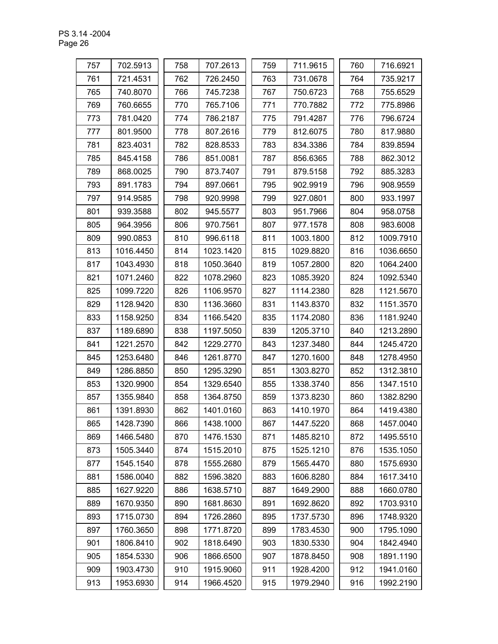| 757 | 702.5913  | 758 | 707.2613  | 759 | 711.9615  | 760 | 716.6921  |
|-----|-----------|-----|-----------|-----|-----------|-----|-----------|
| 761 | 721.4531  | 762 | 726.2450  | 763 | 731.0678  | 764 | 735.9217  |
| 765 | 740.8070  | 766 | 745.7238  | 767 | 750.6723  | 768 | 755.6529  |
| 769 | 760.6655  | 770 | 765.7106  | 771 | 770.7882  | 772 | 775.8986  |
| 773 | 781.0420  | 774 | 786.2187  | 775 | 791.4287  | 776 | 796.6724  |
| 777 | 801.9500  | 778 | 807.2616  | 779 | 812.6075  | 780 | 817.9880  |
| 781 | 823.4031  | 782 | 828.8533  | 783 | 834.3386  | 784 | 839.8594  |
| 785 | 845.4158  | 786 | 851.0081  | 787 | 856.6365  | 788 | 862.3012  |
| 789 | 868.0025  | 790 | 873.7407  | 791 | 879.5158  | 792 | 885.3283  |
| 793 | 891.1783  | 794 | 897.0661  | 795 | 902.9919  | 796 | 908.9559  |
| 797 | 914.9585  | 798 | 920.9998  | 799 | 927.0801  | 800 | 933.1997  |
| 801 | 939.3588  | 802 | 945.5577  | 803 | 951.7966  | 804 | 958.0758  |
| 805 | 964.3956  | 806 | 970.7561  | 807 | 977.1578  | 808 | 983.6008  |
| 809 | 990.0853  | 810 | 996.6118  | 811 | 1003.1800 | 812 | 1009.7910 |
| 813 | 1016.4450 | 814 | 1023.1420 | 815 | 1029.8820 | 816 | 1036.6650 |
| 817 | 1043.4930 | 818 | 1050.3640 | 819 | 1057.2800 | 820 | 1064.2400 |
| 821 | 1071.2460 | 822 | 1078.2960 | 823 | 1085.3920 | 824 | 1092.5340 |
| 825 | 1099.7220 | 826 | 1106.9570 | 827 | 1114.2380 | 828 | 1121.5670 |
| 829 | 1128.9420 | 830 | 1136.3660 | 831 | 1143.8370 | 832 | 1151.3570 |
| 833 | 1158.9250 | 834 | 1166.5420 | 835 | 1174.2080 | 836 | 1181.9240 |
| 837 | 1189.6890 | 838 | 1197.5050 | 839 | 1205.3710 | 840 | 1213.2890 |
| 841 | 1221.2570 | 842 | 1229.2770 | 843 | 1237.3480 | 844 | 1245.4720 |
| 845 | 1253.6480 | 846 | 1261.8770 | 847 | 1270.1600 | 848 | 1278.4950 |
| 849 | 1286.8850 | 850 | 1295.3290 | 851 | 1303.8270 | 852 | 1312.3810 |
| 853 | 1320.9900 | 854 | 1329.6540 | 855 | 1338.3740 | 856 | 1347.1510 |
| 857 | 1355.9840 | 858 | 1364.8750 | 859 | 1373.8230 | 860 | 1382.8290 |
| 861 | 1391.8930 | 862 | 1401.0160 | 863 | 1410.1970 | 864 | 1419.4380 |
| 865 | 1428.7390 | 866 | 1438.1000 | 867 | 1447.5220 | 868 | 1457.0040 |
| 869 | 1466.5480 | 870 | 1476.1530 | 871 | 1485.8210 | 872 | 1495.5510 |
| 873 | 1505.3440 | 874 | 1515.2010 | 875 | 1525.1210 | 876 | 1535.1050 |
| 877 | 1545.1540 | 878 | 1555.2680 | 879 | 1565.4470 | 880 | 1575.6930 |
| 881 | 1586.0040 | 882 | 1596.3820 | 883 | 1606.8280 | 884 | 1617.3410 |
| 885 | 1627.9220 | 886 | 1638.5710 | 887 | 1649.2900 | 888 | 1660.0780 |
| 889 | 1670.9350 | 890 | 1681.8630 | 891 | 1692.8620 | 892 | 1703.9310 |
| 893 | 1715.0730 | 894 | 1726.2860 | 895 | 1737.5730 | 896 | 1748.9320 |
| 897 | 1760.3650 | 898 | 1771.8720 | 899 | 1783.4530 | 900 | 1795.1090 |
| 901 | 1806.8410 | 902 | 1818.6490 | 903 | 1830.5330 | 904 | 1842.4940 |
| 905 | 1854.5330 | 906 | 1866.6500 | 907 | 1878.8450 | 908 | 1891.1190 |
| 909 | 1903.4730 | 910 | 1915.9060 | 911 | 1928.4200 | 912 | 1941.0160 |
| 913 | 1953.6930 | 914 | 1966.4520 | 915 | 1979.2940 | 916 | 1992.2190 |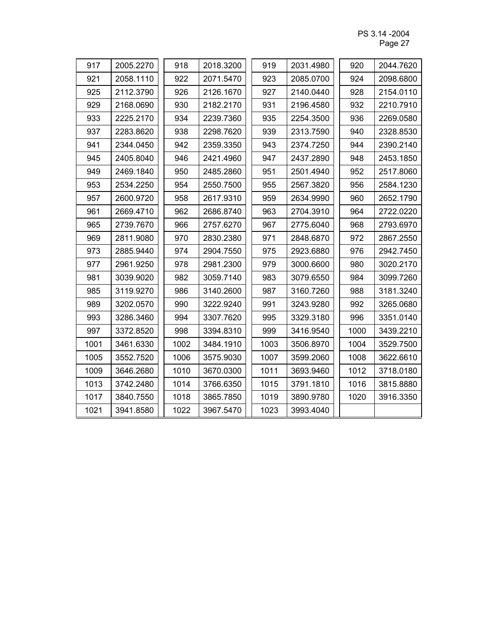PS 3.14 -2004 Page 27 (1999) 2002 12:30 (1999) 2003 12:30 (1999) 2004 12:30 (1999) 2004 12:30 (1999) 2004 12:30 (1999) 2004

| 917  | 2005.2270 | 918  | 2018.3200 | 919  | 2031.4980 | 920  | 2044.7620 |
|------|-----------|------|-----------|------|-----------|------|-----------|
| 921  | 2058.1110 | 922  | 2071.5470 | 923  | 2085.0700 | 924  | 2098.6800 |
| 925  | 2112.3790 | 926  | 2126.1670 | 927  | 2140.0440 | 928  | 2154.0110 |
| 929  | 2168.0690 | 930  | 2182.2170 | 931  | 2196.4580 | 932  | 2210.7910 |
| 933  | 2225.2170 | 934  | 2239.7360 | 935  | 2254.3500 | 936  | 2269.0580 |
| 937  | 2283.8620 | 938  | 2298.7620 | 939  | 2313.7590 | 940  | 2328.8530 |
| 941  | 2344.0450 | 942  | 2359.3350 | 943  | 2374.7250 | 944  | 2390.2140 |
| 945  | 2405.8040 | 946  | 2421.4960 | 947  | 2437.2890 | 948  | 2453.1850 |
| 949  | 2469.1840 | 950  | 2485.2860 | 951  | 2501.4940 | 952  | 2517.8060 |
| 953  | 2534.2250 | 954  | 2550.7500 | 955  | 2567.3820 | 956  | 2584.1230 |
| 957  | 2600.9720 | 958  | 2617.9310 | 959  | 2634.9990 | 960  | 2652.1790 |
| 961  | 2669.4710 | 962  | 2686.8740 | 963  | 2704.3910 | 964  | 2722.0220 |
| 965  | 2739.7670 | 966  | 2757.6270 | 967  | 2775.6040 | 968  | 2793.6970 |
| 969  | 2811.9080 | 970  | 2830.2380 | 971  | 2848.6870 | 972  | 2867.2550 |
| 973  | 2885.9440 | 974  | 2904.7550 | 975  | 2923.6880 | 976  | 2942.7450 |
| 977  | 2961.9250 | 978  | 2981.2300 | 979  | 3000.6600 | 980  | 3020.2170 |
| 981  | 3039.9020 | 982  | 3059.7140 | 983  | 3079.6550 | 984  | 3099.7260 |
| 985  | 3119.9270 | 986  | 3140.2600 | 987  | 3160.7260 | 988  | 3181.3240 |
| 989  | 3202.0570 | 990  | 3222.9240 | 991  | 3243.9280 | 992  | 3265.0680 |
| 993  | 3286.3460 | 994  | 3307.7620 | 995  | 3329.3180 | 996  | 3351.0140 |
| 997  | 3372.8520 | 998  | 3394.8310 | 999  | 3416.9540 | 1000 | 3439.2210 |
| 1001 | 3461.6330 | 1002 | 3484.1910 | 1003 | 3506.8970 | 1004 | 3529.7500 |
| 1005 | 3552.7520 | 1006 | 3575.9030 | 1007 | 3599.2060 | 1008 | 3622.6610 |
| 1009 | 3646.2680 | 1010 | 3670.0300 | 1011 | 3693.9460 | 1012 | 3718.0180 |
| 1013 | 3742.2480 | 1014 | 3766.6350 | 1015 | 3791.1810 | 1016 | 3815.8880 |
| 1017 | 3840.7550 | 1018 | 3865.7850 | 1019 | 3890.9780 | 1020 | 3916.3350 |
| 1021 | 3941.8580 | 1022 | 3967.5470 | 1023 | 3993.4040 |      |           |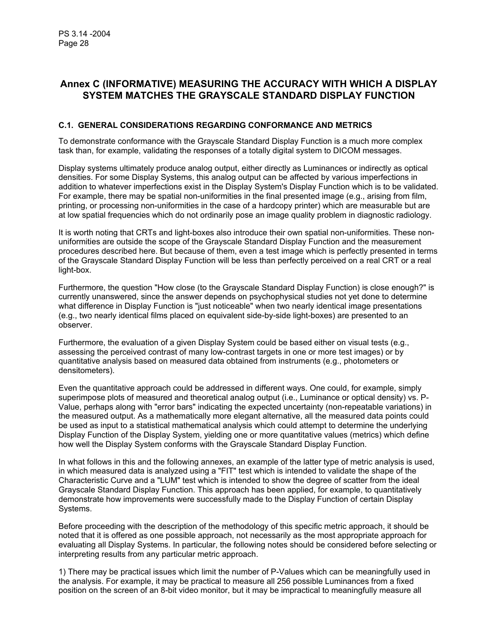### **Annex C (INFORMATIVE) MEASURING THE ACCURACY WITH WHICH A DISPLAY SYSTEM MATCHES THE GRAYSCALE STANDARD DISPLAY FUNCTION**

#### **C.1. GENERAL CONSIDERATIONS REGARDING CONFORMANCE AND METRICS**

To demonstrate conformance with the Grayscale Standard Display Function is a much more complex task than, for example, validating the responses of a totally digital system to DICOM messages.

Display systems ultimately produce analog output, either directly as Luminances or indirectly as optical densities. For some Display Systems, this analog output can be affected by various imperfections in addition to whatever imperfections exist in the Display System's Display Function which is to be validated. For example, there may be spatial non-uniformities in the final presented image (e.g., arising from film, printing, or processing non-uniformities in the case of a hardcopy printer) which are measurable but are at low spatial frequencies which do not ordinarily pose an image quality problem in diagnostic radiology.

It is worth noting that CRTs and light-boxes also introduce their own spatial non-uniformities. These nonuniformities are outside the scope of the Grayscale Standard Display Function and the measurement procedures described here. But because of them, even a test image which is perfectly presented in terms of the Grayscale Standard Display Function will be less than perfectly perceived on a real CRT or a real light-box.

Furthermore, the question "How close (to the Grayscale Standard Display Function) is close enough?" is currently unanswered, since the answer depends on psychophysical studies not yet done to determine what difference in Display Function is "just noticeable" when two nearly identical image presentations (e.g., two nearly identical films placed on equivalent side-by-side light-boxes) are presented to an observer.

Furthermore, the evaluation of a given Display System could be based either on visual tests (e.g., assessing the perceived contrast of many low-contrast targets in one or more test images) or by quantitative analysis based on measured data obtained from instruments (e.g., photometers or densitometers).

Even the quantitative approach could be addressed in different ways. One could, for example, simply superimpose plots of measured and theoretical analog output (i.e., Luminance or optical density) vs. P-Value, perhaps along with "error bars" indicating the expected uncertainty (non-repeatable variations) in the measured output. As a mathematically more elegant alternative, all the measured data points could be used as input to a statistical mathematical analysis which could attempt to determine the underlying Display Function of the Display System, yielding one or more quantitative values (metrics) which define how well the Display System conforms with the Grayscale Standard Display Function.

In what follows in this and the following annexes, an example of the latter type of metric analysis is used, in which measured data is analyzed using a "FIT" test which is intended to validate the shape of the Characteristic Curve and a "LUM" test which is intended to show the degree of scatter from the ideal Grayscale Standard Display Function. This approach has been applied, for example, to quantitatively demonstrate how improvements were successfully made to the Display Function of certain Display Systems.

Before proceeding with the description of the methodology of this specific metric approach, it should be noted that it is offered as one possible approach, not necessarily as the most appropriate approach for evaluating all Display Systems. In particular, the following notes should be considered before selecting or interpreting results from any particular metric approach.

1) There may be practical issues which limit the number of P-Values which can be meaningfully used in the analysis. For example, it may be practical to measure all 256 possible Luminances from a fixed position on the screen of an 8-bit video monitor, but it may be impractical to meaningfully measure all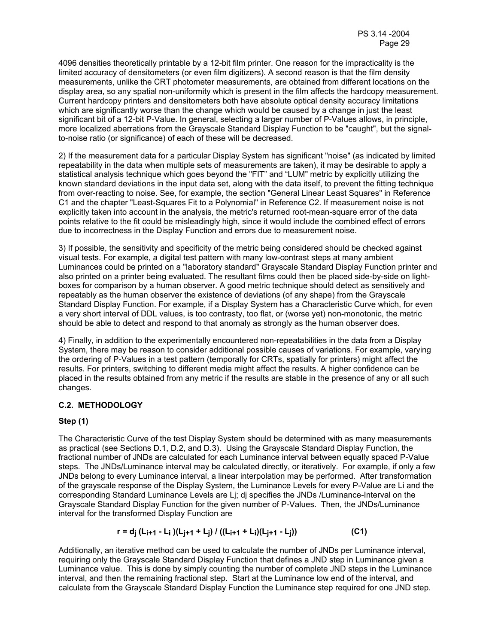4096 densities theoretically printable by a 12-bit film printer. One reason for the impracticality is the limited accuracy of densitometers (or even film digitizers). A second reason is that the film density measurements, unlike the CRT photometer measurements, are obtained from different locations on the display area, so any spatial non-uniformity which is present in the film affects the hardcopy measurement. Current hardcopy printers and densitometers both have absolute optical density accuracy limitations which are significantly worse than the change which would be caused by a change in just the least significant bit of a 12-bit P-Value. In general, selecting a larger number of P-Values allows, in principle, more localized aberrations from the Grayscale Standard Display Function to be "caught", but the signalto-noise ratio (or significance) of each of these will be decreased.

2) If the measurement data for a particular Display System has significant "noise" (as indicated by limited repeatability in the data when multiple sets of measurements are taken), it may be desirable to apply a statistical analysis technique which goes beyond the "FIT" and "LUM" metric by explicitly utilizing the known standard deviations in the input data set, along with the data itself, to prevent the fitting technique from over-reacting to noise. See, for example, the section "General Linear Least Squares" in Reference C1 and the chapter "Least-Squares Fit to a Polynomial" in Reference C2. If measurement noise is not explicitly taken into account in the analysis, the metric's returned root-mean-square error of the data points relative to the fit could be misleadingly high, since it would include the combined effect of errors due to incorrectness in the Display Function and errors due to measurement noise.

3) If possible, the sensitivity and specificity of the metric being considered should be checked against visual tests. For example, a digital test pattern with many low-contrast steps at many ambient Luminances could be printed on a "laboratory standard" Grayscale Standard Display Function printer and also printed on a printer being evaluated. The resultant films could then be placed side-by-side on lightboxes for comparison by a human observer. A good metric technique should detect as sensitively and repeatably as the human observer the existence of deviations (of any shape) from the Grayscale Standard Display Function. For example, if a Display System has a Characteristic Curve which, for even a very short interval of DDL values, is too contrasty, too flat, or (worse yet) non-monotonic, the metric should be able to detect and respond to that anomaly as strongly as the human observer does.

4) Finally, in addition to the experimentally encountered non-repeatabilities in the data from a Display System, there may be reason to consider additional possible causes of variations. For example, varying the ordering of P-Values in a test pattern (temporally for CRTs, spatially for printers) might affect the results. For printers, switching to different media might affect the results. A higher confidence can be placed in the results obtained from any metric if the results are stable in the presence of any or all such changes.

#### **C.2. METHODOLOGY**

### **Step (1)**

The Characteristic Curve of the test Display System should be determined with as many measurements as practical (see Sections D.1, D.2, and D.3). Using the Grayscale Standard Display Function, the fractional number of JNDs are calculated for each Luminance interval between equally spaced P-Value steps. The JNDs/Luminance interval may be calculated directly, or iteratively. For example, if only a few JNDs belong to every Luminance interval, a linear interpolation may be performed. After transformation of the grayscale response of the Display System, the Luminance Levels for every P-Value are Li and the corresponding Standard Luminance Levels are Lj; dj specifies the JNDs /Luminance-Interval on the Grayscale Standard Display Function for the given number of P-Values. Then, the JNDs/Luminance interval for the transformed Display Function are

$$
r = d_j (L_{i+1} - L_i) (L_{j+1} + L_j) / ((L_{i+1} + L_i) (L_{j+1} - L_j))
$$
 (C1)

Additionally, an iterative method can be used to calculate the number of JNDs per Luminance interval, requiring only the Grayscale Standard Display Function that defines a JND step in Luminance given a Luminance value. This is done by simply counting the number of complete JND steps in the Luminance interval, and then the remaining fractional step. Start at the Luminance low end of the interval, and calculate from the Grayscale Standard Display Function the Luminance step required for one JND step.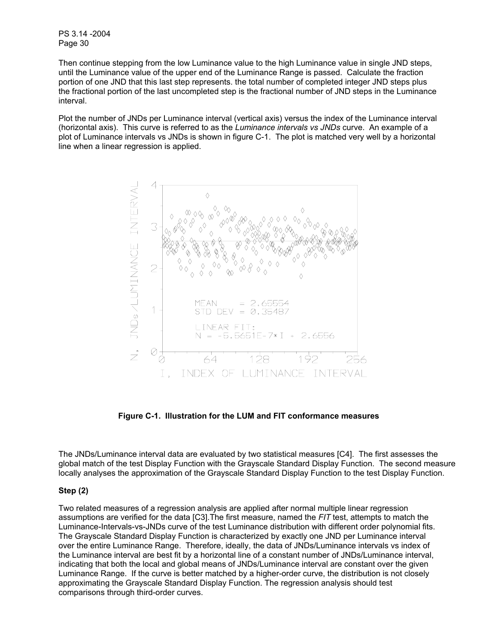Then continue stepping from the low Luminance value to the high Luminance value in single JND steps, until the Luminance value of the upper end of the Luminance Range is passed. Calculate the fraction portion of one JND that this last step represents. the total number of completed integer JND steps plus the fractional portion of the last uncompleted step is the fractional number of JND steps in the Luminance interval.

Plot the number of JNDs per Luminance interval (vertical axis) versus the index of the Luminance interval (horizontal axis). This curve is referred to as the *Luminance intervals vs JNDs* curve. An example of a plot of Luminance intervals vs JNDs is shown in figure C-1. The plot is matched very well by a horizontal line when a linear regression is applied.



**Figure C-1. Illustration for the LUM and FIT conformance measures** 

The JNDs/Luminance interval data are evaluated by two statistical measures [C4]. The first assesses the global match of the test Display Function with the Grayscale Standard Display Function. The second measure locally analyses the approximation of the Grayscale Standard Display Function to the test Display Function.

#### **Step (2)**

Two related measures of a regression analysis are applied after normal multiple linear regression assumptions are verified for the data [C3].The first measure, named the *FIT* test, attempts to match the Luminance-Intervals-vs-JNDs curve of the test Luminance distribution with different order polynomial fits. The Grayscale Standard Display Function is characterized by exactly one JND per Luminance interval over the entire Luminance Range. Therefore, ideally, the data of JNDs/Luminance intervals vs index of the Luminance interval are best fit by a horizontal line of a constant number of JNDs/Luminance interval, indicating that both the local and global means of JNDs/Luminance interval are constant over the given Luminance Range. If the curve is better matched by a higher-order curve, the distribution is not closely approximating the Grayscale Standard Display Function. The regression analysis should test comparisons through third-order curves.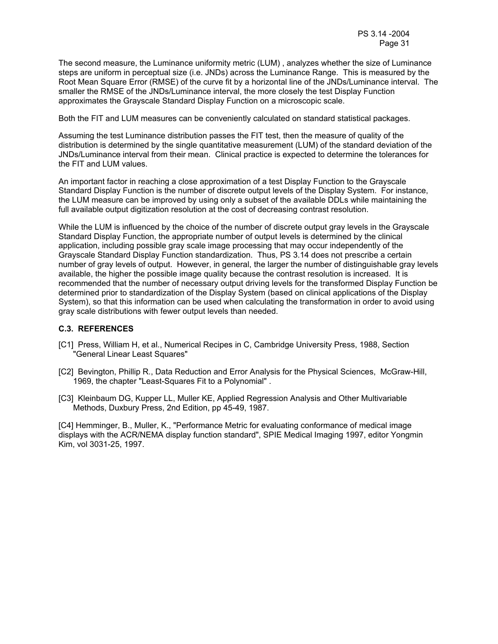The second measure, the Luminance uniformity metric (LUM) , analyzes whether the size of Luminance steps are uniform in perceptual size (i.e. JNDs) across the Luminance Range. This is measured by the Root Mean Square Error (RMSE) of the curve fit by a horizontal line of the JNDs/Luminance interval. The smaller the RMSE of the JNDs/Luminance interval, the more closely the test Display Function approximates the Grayscale Standard Display Function on a microscopic scale.

Both the FIT and LUM measures can be conveniently calculated on standard statistical packages.

Assuming the test Luminance distribution passes the FIT test, then the measure of quality of the distribution is determined by the single quantitative measurement (LUM) of the standard deviation of the JNDs/Luminance interval from their mean. Clinical practice is expected to determine the tolerances for the FIT and LUM values.

An important factor in reaching a close approximation of a test Display Function to the Grayscale Standard Display Function is the number of discrete output levels of the Display System. For instance, the LUM measure can be improved by using only a subset of the available DDLs while maintaining the full available output digitization resolution at the cost of decreasing contrast resolution.

While the LUM is influenced by the choice of the number of discrete output gray levels in the Grayscale Standard Display Function, the appropriate number of output levels is determined by the clinical application, including possible gray scale image processing that may occur independently of the Grayscale Standard Display Function standardization. Thus, PS 3.14 does not prescribe a certain number of gray levels of output. However, in general, the larger the number of distinguishable gray levels available, the higher the possible image quality because the contrast resolution is increased. It is recommended that the number of necessary output driving levels for the transformed Display Function be determined prior to standardization of the Display System (based on clinical applications of the Display System), so that this information can be used when calculating the transformation in order to avoid using gray scale distributions with fewer output levels than needed.

#### **C.3. REFERENCES**

- [C1] Press, William H, et al., Numerical Recipes in C, Cambridge University Press, 1988, Section "General Linear Least Squares"
- [C2] Bevington, Phillip R., Data Reduction and Error Analysis for the Physical Sciences, McGraw-Hill, 1969, the chapter "Least-Squares Fit to a Polynomial" .
- [C3] Kleinbaum DG, Kupper LL, Muller KE, Applied Regression Analysis and Other Multivariable Methods, Duxbury Press, 2nd Edition, pp 45-49, 1987.

[C4] Hemminger, B., Muller, K., "Performance Metric for evaluating conformance of medical image displays with the ACR/NEMA display function standard", SPIE Medical Imaging 1997, editor Yongmin Kim, vol 3031-25, 1997.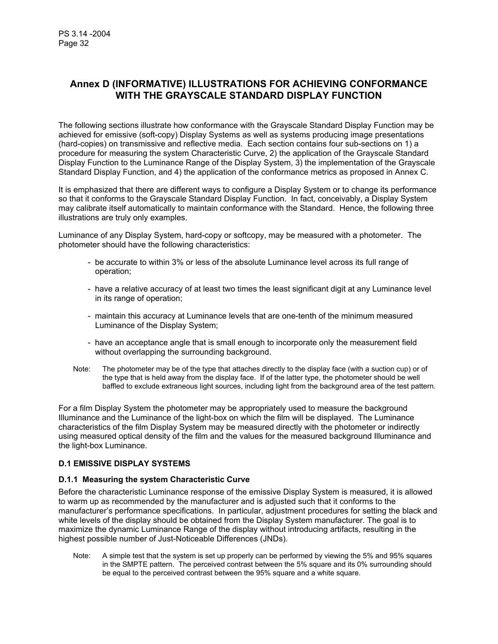### **Annex D (INFORMATIVE) ILLUSTRATIONS FOR ACHIEVING CONFORMANCE WITH THE GRAYSCALE STANDARD DISPLAY FUNCTION**

The following sections illustrate how conformance with the Grayscale Standard Display Function may be achieved for emissive (soft-copy) Display Systems as well as systems producing image presentations (hard-copies) on transmissive and reflective media. Each section contains four sub-sections on 1) a procedure for measuring the system Characteristic Curve, 2) the application of the Grayscale Standard Display Function to the Luminance Range of the Display System, 3) the implementation of the Grayscale Standard Display Function, and 4) the application of the conformance metrics as proposed in Annex C.

It is emphasized that there are different ways to configure a Display System or to change its performance so that it conforms to the Grayscale Standard Display Function. In fact, conceivably, a Display System may calibrate itself automatically to maintain conformance with the Standard. Hence, the following three illustrations are truly only examples.

Luminance of any Display System, hard-copy or softcopy, may be measured with a photometer. The photometer should have the following characteristics:

- be accurate to within 3% or less of the absolute Luminance level across its full range of operation;
- have a relative accuracy of at least two times the least significant digit at any Luminance level in its range of operation;
- maintain this accuracy at Luminance levels that are one-tenth of the minimum measured Luminance of the Display System;
- have an acceptance angle that is small enough to incorporate only the measurement field without overlapping the surrounding background.
- Note: The photometer may be of the type that attaches directly to the display face (with a suction cup) or of the type that is held away from the display face. If of the latter type, the photometer should be well baffled to exclude extraneous light sources, including light from the background area of the test pattern.

For a film Display System the photometer may be appropriately used to measure the background Illuminance and the Luminance of the light-box on which the film will be displayed. The Luminance characteristics of the film Display System may be measured directly with the photometer or indirectly using measured optical density of the film and the values for the measured background Illuminance and the light-box Luminance.

#### **D.1 EMISSIVE DISPLAY SYSTEMS**

#### **D.1.1 Measuring the system Characteristic Curve**

Before the characteristic Luminance response of the emissive Display System is measured, it is allowed to warm up as recommended by the manufacturer and is adjusted such that it conforms to the manufacturer's performance specifications. In particular, adjustment procedures for setting the black and white levels of the display should be obtained from the Display System manufacturer. The goal is to maximize the dynamic Luminance Range of the display without introducing artifacts, resulting in the highest possible number of Just-Noticeable Differences (JNDs).

Note: A simple test that the system is set up properly can be performed by viewing the 5% and 95% squares in the SMPTE pattern. The perceived contrast between the 5% square and its 0% surrounding should be equal to the perceived contrast between the 95% square and a white square.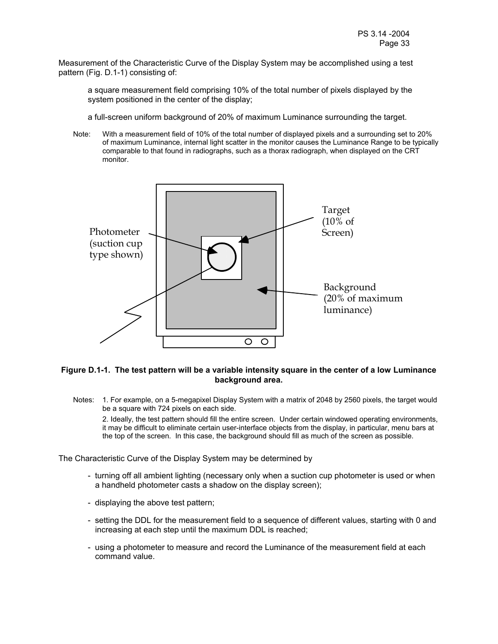Measurement of the Characteristic Curve of the Display System may be accomplished using a test pattern (Fig. D.1-1) consisting of:

a square measurement field comprising 10% of the total number of pixels displayed by the system positioned in the center of the display;

- a full-screen uniform background of 20% of maximum Luminance surrounding the target.
- Note: With a measurement field of 10% of the total number of displayed pixels and a surrounding set to 20% of maximum Luminance, internal light scatter in the monitor causes the Luminance Range to be typically comparable to that found in radiographs, such as a thorax radiograph, when displayed on the CRT monitor.



#### **Figure D.1-1. The test pattern will be a variable intensity square in the center of a low Luminance background area.**

Notes: 1. For example, on a 5-megapixel Display System with a matrix of 2048 by 2560 pixels, the target would be a square with 724 pixels on each side.

 2. Ideally, the test pattern should fill the entire screen. Under certain windowed operating environments, it may be difficult to eliminate certain user-interface objects from the display, in particular, menu bars at the top of the screen. In this case, the background should fill as much of the screen as possible.

The Characteristic Curve of the Display System may be determined by

- turning off all ambient lighting (necessary only when a suction cup photometer is used or when a handheld photometer casts a shadow on the display screen);
- displaying the above test pattern;
- setting the DDL for the measurement field to a sequence of different values, starting with 0 and increasing at each step until the maximum DDL is reached;
- using a photometer to measure and record the Luminance of the measurement field at each command value.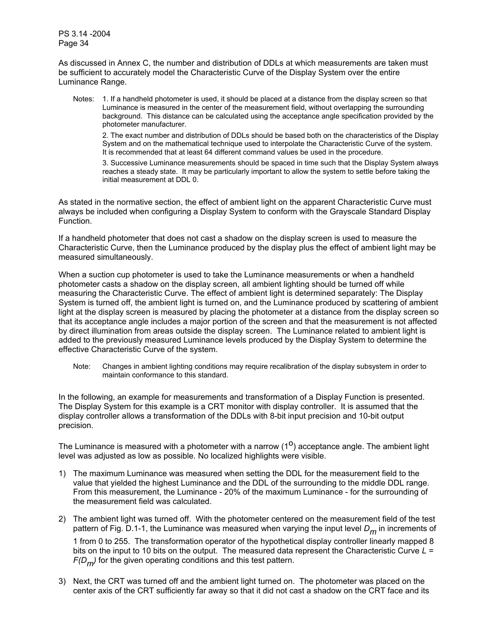As discussed in Annex C, the number and distribution of DDLs at which measurements are taken must be sufficient to accurately model the Characteristic Curve of the Display System over the entire Luminance Range.

Notes: 1. If a handheld photometer is used, it should be placed at a distance from the display screen so that Luminance is measured in the center of the measurement field, without overlapping the surrounding background. This distance can be calculated using the acceptance angle specification provided by the photometer manufacturer.

 2. The exact number and distribution of DDLs should be based both on the characteristics of the Display System and on the mathematical technique used to interpolate the Characteristic Curve of the system. It is recommended that at least 64 different command values be used in the procedure.

 3. Successive Luminance measurements should be spaced in time such that the Display System always reaches a steady state. It may be particularly important to allow the system to settle before taking the initial measurement at DDL 0.

As stated in the normative section, the effect of ambient light on the apparent Characteristic Curve must always be included when configuring a Display System to conform with the Grayscale Standard Display Function.

If a handheld photometer that does not cast a shadow on the display screen is used to measure the Characteristic Curve, then the Luminance produced by the display plus the effect of ambient light may be measured simultaneously.

When a suction cup photometer is used to take the Luminance measurements or when a handheld photometer casts a shadow on the display screen, all ambient lighting should be turned off while measuring the Characteristic Curve. The effect of ambient light is determined separately: The Display System is turned off, the ambient light is turned on, and the Luminance produced by scattering of ambient light at the display screen is measured by placing the photometer at a distance from the display screen so that its acceptance angle includes a major portion of the screen and that the measurement is not affected by direct illumination from areas outside the display screen. The Luminance related to ambient light is added to the previously measured Luminance levels produced by the Display System to determine the effective Characteristic Curve of the system.

Note: Changes in ambient lighting conditions may require recalibration of the display subsystem in order to maintain conformance to this standard.

In the following, an example for measurements and transformation of a Display Function is presented. The Display System for this example is a CRT monitor with display controller. It is assumed that the display controller allows a transformation of the DDLs with 8-bit input precision and 10-bit output precision.

The Luminance is measured with a photometer with a narrow  $(1^0)$  acceptance angle. The ambient light level was adjusted as low as possible. No localized highlights were visible.

- 1) The maximum Luminance was measured when setting the DDL for the measurement field to the value that yielded the highest Luminance and the DDL of the surrounding to the middle DDL range. From this measurement, the Luminance - 20% of the maximum Luminance - for the surrounding of the measurement field was calculated.
- 2) The ambient light was turned off. With the photometer centered on the measurement field of the test pattern of Fig. D.1-1, the Luminance was measured when varying the input level D<sub>m</sub> in increments of 1 from 0 to 255. The transformation operator of the hypothetical display controller linearly mapped 8 bits on the input to 10 bits on the output. The measured data represent the Characteristic Curve *L = F(Dm)* for the given operating conditions and this test pattern.
- 3) Next, the CRT was turned off and the ambient light turned on. The photometer was placed on the center axis of the CRT sufficiently far away so that it did not cast a shadow on the CRT face and its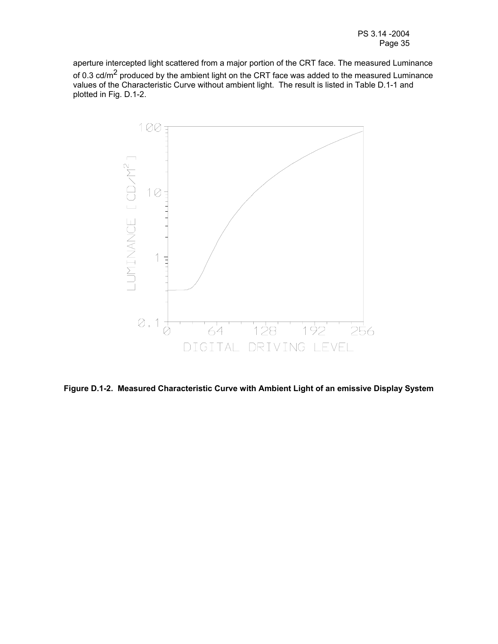aperture intercepted light scattered from a major portion of the CRT face. The measured Luminance of 0.3  $cd/m<sup>2</sup>$  produced by the ambient light on the CRT face was added to the measured Luminance values of the Characteristic Curve without ambient light. The result is listed in Table D.1-1 and plotted in Fig. D.1-2.



**Figure D.1-2. Measured Characteristic Curve with Ambient Light of an emissive Display System**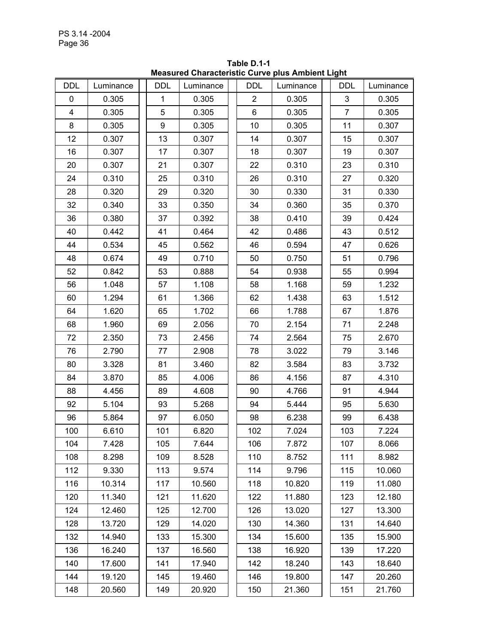|            |           |             |           |                | mcasarca Unaracteristic Uarve piùs Annoient Lignit |                |           |
|------------|-----------|-------------|-----------|----------------|----------------------------------------------------|----------------|-----------|
| <b>DDL</b> | Luminance | <b>DDL</b>  | Luminance | DDL.           | Luminance                                          | <b>DDL</b>     | Luminance |
| 0          | 0.305     | $\mathbf 1$ | 0.305     | $\overline{2}$ | 0.305                                              | 3              | 0.305     |
| 4          | 0.305     | 5           | 0.305     | 6              | 0.305                                              | $\overline{7}$ | 0.305     |
| 8          | 0.305     | 9           | 0.305     | 10             | 0.305                                              | 11             | 0.307     |
| 12         | 0.307     | 13          | 0.307     | 14             | 0.307                                              | 15             | 0.307     |
| 16         | 0.307     | 17          | 0.307     | 18             | 0.307                                              | 19             | 0.307     |
| 20         | 0.307     | 21          | 0.307     | 22             | 0.310                                              | 23             | 0.310     |
| 24         | 0.310     | 25          | 0.310     | 26             | 0.310                                              | 27             | 0.320     |
| 28         | 0.320     | 29          | 0.320     | 30             | 0.330                                              | 31             | 0.330     |
| 32         | 0.340     | 33          | 0.350     | 34             | 0.360                                              | 35             | 0.370     |
| 36         | 0.380     | 37          | 0.392     | 38             | 0.410                                              | 39             | 0.424     |
| 40         | 0.442     | 41          | 0.464     | 42             | 0.486                                              | 43             | 0.512     |
| 44         | 0.534     | 45          | 0.562     | 46             | 0.594                                              | 47             | 0.626     |
| 48         | 0.674     | 49          | 0.710     | 50             | 0.750                                              | 51             | 0.796     |
| 52         | 0.842     | 53          | 0.888     | 54             | 0.938                                              | 55             | 0.994     |
| 56         | 1.048     | 57          | 1.108     | 58             | 1.168                                              | 59             | 1.232     |
| 60         | 1.294     | 61          | 1.366     | 62             | 1.438                                              | 63             | 1.512     |
| 64         | 1.620     | 65          | 1.702     | 66             | 1.788                                              | 67             | 1.876     |
| 68         | 1.960     | 69          | 2.056     | 70             | 2.154                                              | 71             | 2.248     |
| 72         | 2.350     | 73          | 2.456     | 74             | 2.564                                              | 75             | 2.670     |
| 76         | 2.790     | 77          | 2.908     | 78             | 3.022                                              | 79             | 3.146     |
| 80         | 3.328     | 81          | 3.460     | 82             | 3.584                                              | 83             | 3.732     |
| 84         | 3.870     | 85          | 4.006     | 86             | 4.156                                              | 87             | 4.310     |
| 88         | 4.456     | 89          | 4.608     | 90             | 4.766                                              | 91             | 4.944     |
| 92         | 5.104     | 93          | 5.268     | 94             | 5.444                                              | 95             | 5.630     |
| 96         | 5.864     | 97          | 6.050     | 98             | 6.238                                              | 99             | 6.438     |
| 100        | 6.610     | 101         | 6.820     | 102            | 7.024                                              | 103            | 7.224     |
| 104        | 7.428     | 105         | 7.644     | 106            | 7.872                                              | 107            | 8.066     |
| 108        | 8.298     | 109         | 8.528     | 110            | 8.752                                              | 111            | 8.982     |
| 112        | 9.330     | 113         | 9.574     | 114            | 9.796                                              | 115            | 10.060    |
| 116        | 10.314    | 117         | 10.560    | 118            | 10.820                                             | 119            | 11.080    |
| 120        | 11.340    | 121         | 11.620    | 122            | 11.880                                             | 123            | 12.180    |
| 124        | 12.460    | 125         | 12.700    | 126            | 13.020                                             | 127            | 13.300    |
| 128        | 13.720    | 129         | 14.020    | 130            | 14.360                                             | 131            | 14.640    |
| 132        | 14.940    | 133         | 15.300    | 134            | 15.600                                             | 135            | 15.900    |
| 136        | 16.240    | 137         | 16.560    | 138            | 16.920                                             | 139            | 17.220    |
| 140        | 17.600    | 141         | 17.940    | 142            | 18.240                                             | 143            | 18.640    |
| 144        | 19.120    | 145         | 19.460    | 146            | 19.800                                             | 147            | 20.260    |
| 148        | 20.560    | 149         | 20.920    | 150            | 21.360                                             | 151            | 21.760    |

**Table D.1-1 Measured Characteristic Curve plus Ambient Light**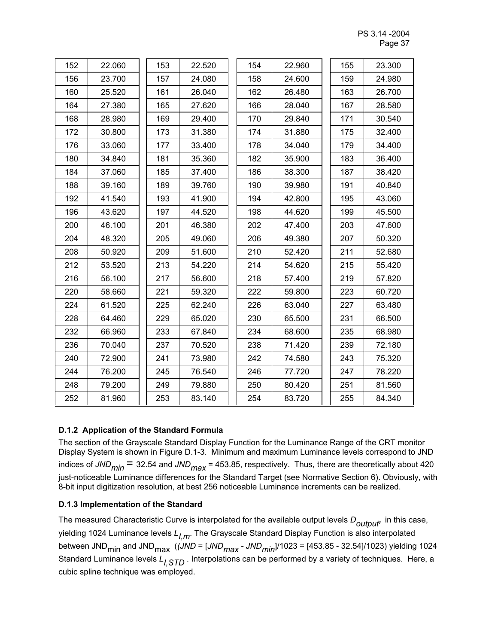| 152 | 22.060 | 153 | 22.520 | 154 | 22.960 | 155 | 23.300 |
|-----|--------|-----|--------|-----|--------|-----|--------|
| 156 | 23.700 | 157 | 24.080 | 158 | 24.600 | 159 | 24.980 |
| 160 | 25.520 | 161 | 26.040 | 162 | 26.480 | 163 | 26.700 |
| 164 | 27.380 | 165 | 27.620 | 166 | 28.040 | 167 | 28.580 |
| 168 | 28.980 | 169 | 29.400 | 170 | 29.840 | 171 | 30.540 |
| 172 | 30.800 | 173 | 31.380 | 174 | 31.880 | 175 | 32.400 |
| 176 | 33.060 | 177 | 33.400 | 178 | 34.040 | 179 | 34.400 |
| 180 | 34.840 | 181 | 35.360 | 182 | 35.900 | 183 | 36.400 |
| 184 | 37.060 | 185 | 37.400 | 186 | 38.300 | 187 | 38.420 |
| 188 | 39.160 | 189 | 39.760 | 190 | 39.980 | 191 | 40.840 |
| 192 | 41.540 | 193 | 41.900 | 194 | 42.800 | 195 | 43.060 |
| 196 | 43.620 | 197 | 44.520 | 198 | 44.620 | 199 | 45.500 |
| 200 | 46.100 | 201 | 46.380 | 202 | 47.400 | 203 | 47.600 |
| 204 | 48.320 | 205 | 49.060 | 206 | 49.380 | 207 | 50.320 |
| 208 | 50.920 | 209 | 51.600 | 210 | 52.420 | 211 | 52.680 |
| 212 | 53.520 | 213 | 54.220 | 214 | 54.620 | 215 | 55.420 |
| 216 | 56.100 | 217 | 56.600 | 218 | 57.400 | 219 | 57.820 |
| 220 | 58.660 | 221 | 59.320 | 222 | 59.800 | 223 | 60.720 |
| 224 | 61.520 | 225 | 62.240 | 226 | 63.040 | 227 | 63.480 |
| 228 | 64.460 | 229 | 65.020 | 230 | 65.500 | 231 | 66.500 |
| 232 | 66.960 | 233 | 67.840 | 234 | 68.600 | 235 | 68.980 |
| 236 | 70.040 | 237 | 70.520 | 238 | 71.420 | 239 | 72.180 |
| 240 | 72.900 | 241 | 73.980 | 242 | 74.580 | 243 | 75.320 |
| 244 | 76.200 | 245 | 76.540 | 246 | 77.720 | 247 | 78.220 |
| 248 | 79.200 | 249 | 79.880 | 250 | 80.420 | 251 | 81.560 |
| 252 | 81.960 | 253 | 83.140 | 254 | 83.720 | 255 | 84.340 |

### **D.1.2 Application of the Standard Formula**

The section of the Grayscale Standard Display Function for the Luminance Range of the CRT monitor Display System is shown in Figure D.1-3. Minimum and maximum Luminance levels correspond to JND indices of *JND<sub>min</sub>* = 32.54 and *JND<sub>max</sub>* = 453.85, respectively. Thus, there are theoretically about 420 just-noticeable Luminance differences for the Standard Target (see Normative Section 6). Obviously, with 8-bit input digitization resolution, at best 256 noticeable Luminance increments can be realized.

### **D.1.3 Implementation of the Standard**

The measured Characteristic Curve is interpolated for the available output levels  $D_{\text{output}}$  in this case, yielding 1024 Luminance levels  $L_{I,m}$ . The Grayscale Standard Display Function is also interpolated between JND<sub>min</sub> and JND<sub>max</sub> (*(JND* = [*JND<sub>max</sub> - JND<sub>min</sub>]*/1023 = [453.85 - 32.54]/1023) yielding 1024 Standard Luminance levels *L<sub>ISTD</sub>*. Interpolations can be performed by a variety of techniques. Here, a cubic spline technique was employed.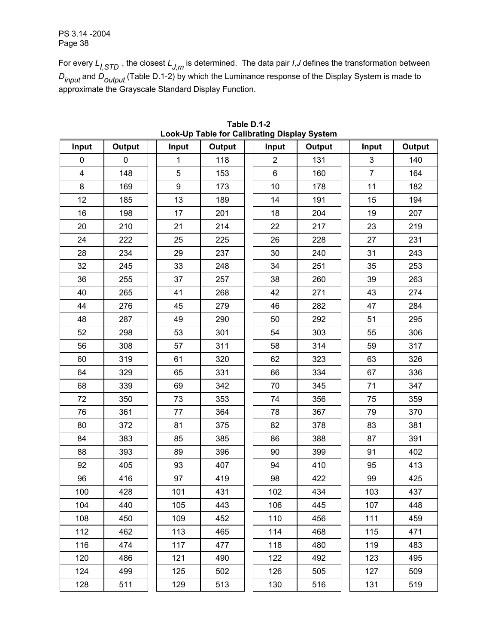For every  $L_{LSTD}$ , the closest  $L_{J,m}$  is determined. The data pair *I*,*J* defines the transformation between *D<sub>input</sub>* and  $D_{output}$  (Table D.1-2) by which the Luminance response of the Display System is made to approximate the Grayscale Standard Display Function.

| Input                   | Output      | Input        | Output | Input          | Output | Input          | Output |
|-------------------------|-------------|--------------|--------|----------------|--------|----------------|--------|
| 0                       | $\mathbf 0$ | $\mathbf{1}$ | 118    | $\overline{2}$ | 131    | 3              | 140    |
| $\overline{\mathbf{4}}$ | 148         | 5            | 153    | 6              | 160    | $\overline{7}$ | 164    |
| 8                       | 169         | 9            | 173    | 10             | 178    | 11             | 182    |
| 12                      | 185         | 13           | 189    | 14             | 191    | 15             | 194    |
| 16                      | 198         | 17           | 201    | 18             | 204    | 19             | 207    |
| 20                      | 210         | 21           | 214    | 22             | 217    | 23             | 219    |
| 24                      | 222         | 25           | 225    | 26             | 228    | 27             | 231    |
| 28                      | 234         | 29           | 237    | 30             | 240    | 31             | 243    |
| 32                      | 245         | 33           | 248    | 34             | 251    | 35             | 253    |
| 36                      | 255         | 37           | 257    | 38             | 260    | 39             | 263    |
| 40                      | 265         | 41           | 268    | 42             | 271    | 43             | 274    |
| 44                      | 276         | 45           | 279    | 46             | 282    | 47             | 284    |
| 48                      | 287         | 49           | 290    | 50             | 292    | 51             | 295    |
| 52                      | 298         | 53           | 301    | 54             | 303    | 55             | 306    |
| 56                      | 308         | 57           | 311    | 58             | 314    | 59             | 317    |
| 60                      | 319         | 61           | 320    | 62             | 323    | 63             | 326    |
| 64                      | 329         | 65           | 331    | 66             | 334    | 67             | 336    |
| 68                      | 339         | 69           | 342    | 70             | 345    | 71             | 347    |
| 72                      | 350         | 73           | 353    | 74             | 356    | 75             | 359    |
| 76                      | 361         | 77           | 364    | 78             | 367    | 79             | 370    |
| 80                      | 372         | 81           | 375    | 82             | 378    | 83             | 381    |
| 84                      | 383         | 85           | 385    | 86             | 388    | 87             | 391    |
| 88                      | 393         | 89           | 396    | 90             | 399    | 91             | 402    |
| 92                      | 405         | 93           | 407    | 94             | 410    | 95             | 413    |
| 96                      | 416         | 97           | 419    | 98             | 422    | 99             | 425    |
| 100                     | 428         | 101          | 431    | 102            | 434    | 103            | 437    |
| 104                     | 440         | 105          | 443    | 106            | 445    | 107            | 448    |
| 108                     | 450         | 109          | 452    | 110            | 456    | 111            | 459    |
| 112                     | 462         | 113          | 465    | 114            | 468    | 115            | 471    |
| 116                     | 474         | 117          | 477    | 118            | 480    | 119            | 483    |
| 120                     | 486         | 121          | 490    | 122            | 492    | 123            | 495    |
| 124                     | 499         | 125          | 502    | 126            | 505    | 127            | 509    |
| 128                     | 511         | 129          | 513    | 130            | 516    | 131            | 519    |

**Table D.1-2 Look-Up Table for Calibrating Display System**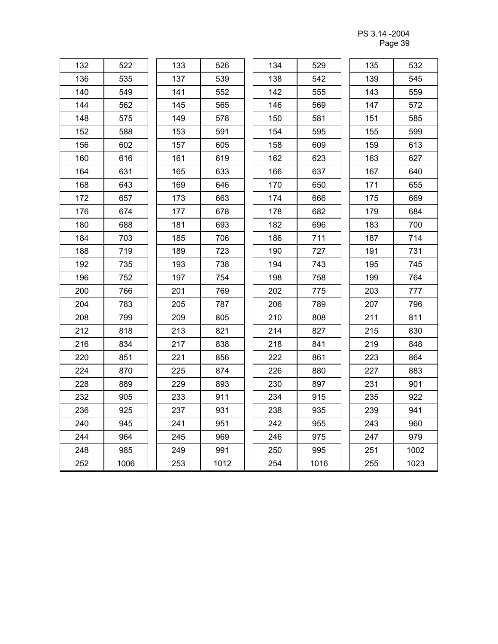PS 3.14 -2004 Page 39 - Page 39 - Page 39 - Page 39 - Page 39 - Page 39 - Page 39 - Page 39 - Page 39 - Page 39

| 132 | 522  | 133 | 526  | 134 | 529  | 135 | 532  |
|-----|------|-----|------|-----|------|-----|------|
| 136 | 535  | 137 | 539  | 138 | 542  | 139 | 545  |
| 140 | 549  | 141 | 552  | 142 | 555  | 143 | 559  |
| 144 | 562  | 145 | 565  | 146 | 569  | 147 | 572  |
| 148 | 575  | 149 | 578  | 150 | 581  | 151 | 585  |
| 152 | 588  | 153 | 591  | 154 | 595  | 155 | 599  |
| 156 | 602  | 157 | 605  | 158 | 609  | 159 | 613  |
| 160 | 616  | 161 | 619  | 162 | 623  | 163 | 627  |
| 164 | 631  | 165 | 633  | 166 | 637  | 167 | 640  |
| 168 | 643  | 169 | 646  | 170 | 650  | 171 | 655  |
| 172 | 657  | 173 | 663  | 174 | 666  | 175 | 669  |
| 176 | 674  | 177 | 678  | 178 | 682  | 179 | 684  |
| 180 | 688  | 181 | 693  | 182 | 696  | 183 | 700  |
| 184 | 703  | 185 | 706  | 186 | 711  | 187 | 714  |
| 188 | 719  | 189 | 723  | 190 | 727  | 191 | 731  |
| 192 | 735  | 193 | 738  | 194 | 743  | 195 | 745  |
| 196 | 752  | 197 | 754  | 198 | 758  | 199 | 764  |
| 200 | 766  | 201 | 769  | 202 | 775  | 203 | 777  |
| 204 | 783  | 205 | 787  | 206 | 789  | 207 | 796  |
| 208 | 799  | 209 | 805  | 210 | 808  | 211 | 811  |
| 212 | 818  | 213 | 821  | 214 | 827  | 215 | 830  |
| 216 | 834  | 217 | 838  | 218 | 841  | 219 | 848  |
| 220 | 851  | 221 | 856  | 222 | 861  | 223 | 864  |
| 224 | 870  | 225 | 874  | 226 | 880  | 227 | 883  |
| 228 | 889  | 229 | 893  | 230 | 897  | 231 | 901  |
| 232 | 905  | 233 | 911  | 234 | 915  | 235 | 922  |
| 236 | 925  | 237 | 931  | 238 | 935  | 239 | 941  |
| 240 | 945  | 241 | 951  | 242 | 955  | 243 | 960  |
| 244 | 964  | 245 | 969  | 246 | 975  | 247 | 979  |
| 248 | 985  | 249 | 991  | 250 | 995  | 251 | 1002 |
| 252 | 1006 | 253 | 1012 | 254 | 1016 | 255 | 1023 |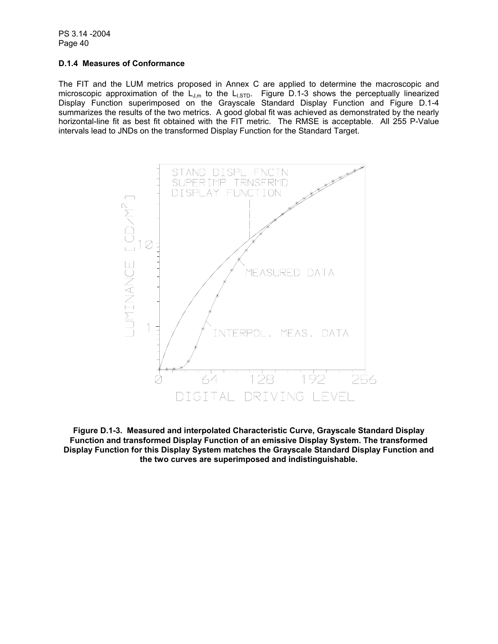#### **D.1.4 Measures of Conformance**

The FIT and the LUM metrics proposed in Annex C are applied to determine the macroscopic and microscopic approximation of the  $L_{J,m}$  to the  $L_{I,STD}$ . Figure D.1-3 shows the perceptually linearized Display Function superimposed on the Grayscale Standard Display Function and Figure D.1-4 summarizes the results of the two metrics. A good global fit was achieved as demonstrated by the nearly horizontal-line fit as best fit obtained with the FIT metric. The RMSE is acceptable. All 255 P-Value intervals lead to JNDs on the transformed Display Function for the Standard Target.



**Figure D.1-3. Measured and interpolated Characteristic Curve, Grayscale Standard Display Function and transformed Display Function of an emissive Display System. The transformed Display Function for this Display System matches the Grayscale Standard Display Function and the two curves are superimposed and indistinguishable.**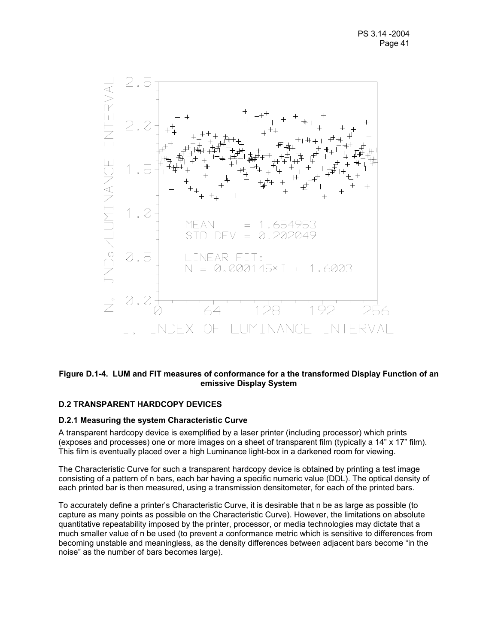

#### **Figure D.1-4. LUM and FIT measures of conformance for a the transformed Display Function of an emissive Display System**

#### **D.2 TRANSPARENT HARDCOPY DEVICES**

#### **D.2.1 Measuring the system Characteristic Curve**

A transparent hardcopy device is exemplified by a laser printer (including processor) which prints (exposes and processes) one or more images on a sheet of transparent film (typically a 14" x 17" film). This film is eventually placed over a high Luminance light-box in a darkened room for viewing.

The Characteristic Curve for such a transparent hardcopy device is obtained by printing a test image consisting of a pattern of n bars, each bar having a specific numeric value (DDL). The optical density of each printed bar is then measured, using a transmission densitometer, for each of the printed bars.

To accurately define a printer's Characteristic Curve, it is desirable that n be as large as possible (to capture as many points as possible on the Characteristic Curve). However, the limitations on absolute quantitative repeatability imposed by the printer, processor, or media technologies may dictate that a much smaller value of n be used (to prevent a conformance metric which is sensitive to differences from becoming unstable and meaningless, as the density differences between adjacent bars become "in the noise" as the number of bars becomes large).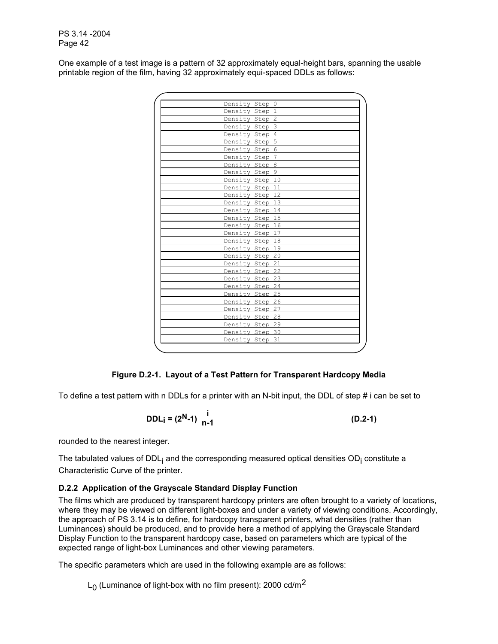One example of a test image is a pattern of 32 approximately equal-height bars, spanning the usable printable region of the film, having 32 approximately equi-spaced DDLs as follows:

| Density Step 0  |  |
|-----------------|--|
| Density Step 1  |  |
| Density Step 2  |  |
| Density Step 3  |  |
| Density Step 4  |  |
| Density Step 5  |  |
| Density Step 6  |  |
| Density Step 7  |  |
| Density Step 8  |  |
| Density Step 9  |  |
| Density Step 10 |  |
| Density Step 11 |  |
| Density Step 12 |  |
| Density Step 13 |  |
| Density Step 14 |  |
| Density Step 15 |  |
| Density Step 16 |  |
| Density Step 17 |  |
| Density Step 18 |  |
| Density Step 19 |  |
| Density Step 20 |  |
| Density Step 21 |  |
| Density Step 22 |  |
| Density Step 23 |  |
| Density Step 24 |  |
| Density Step 25 |  |
| Density Step 26 |  |
| Density Step 27 |  |
| Density Step 28 |  |
| Density Step 29 |  |
| Density Step 30 |  |
| Density Step 31 |  |

#### **Figure D.2-1. Layout of a Test Pattern for Transparent Hardcopy Media**

To define a test pattern with n DDLs for a printer with an N-bit input, the DDL of step # i can be set to

$$
DDLi = (2N-1) \frac{i}{n-1}
$$
 (D.2-1)

rounded to the nearest integer.

The tabulated values of DDL<sub>i</sub> and the corresponding measured optical densities OD<sub>i</sub> constitute a Characteristic Curve of the printer.

#### **D.2.2 Application of the Grayscale Standard Display Function**

The films which are produced by transparent hardcopy printers are often brought to a variety of locations, where they may be viewed on different light-boxes and under a variety of viewing conditions. Accordingly, the approach of PS 3.14 is to define, for hardcopy transparent printers, what densities (rather than Luminances) should be produced, and to provide here a method of applying the Grayscale Standard Display Function to the transparent hardcopy case, based on parameters which are typical of the expected range of light-box Luminances and other viewing parameters.

The specific parameters which are used in the following example are as follows:

 $L_0$  (Luminance of light-box with no film present): 2000 cd/m<sup>2</sup>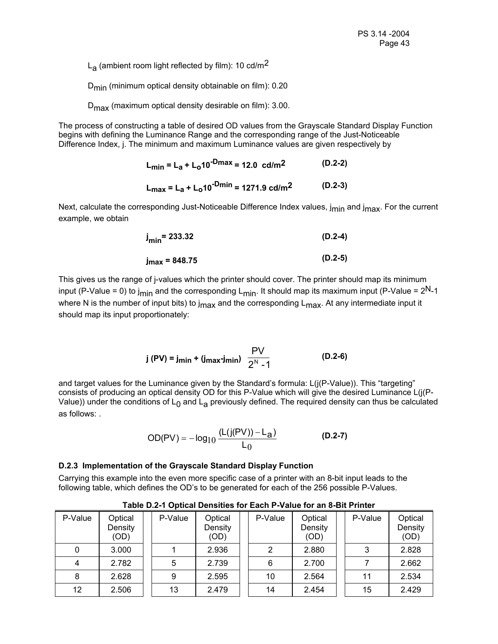$L_a$  (ambient room light reflected by film): 10 cd/m<sup>2</sup>

D<sub>min</sub> (minimum optical density obtainable on film): 0.20

D<sub>max</sub> (maximum optical density desirable on film): 3.00.

The process of constructing a table of desired OD values from the Grayscale Standard Display Function begins with defining the Luminance Range and the corresponding range of the Just-Noticeable Difference Index, j. The minimum and maximum Luminance values are given respectively by

| $L_{\text{min}}$ = $L_{\text{a}}$ + $L_{\text{o}}$ 10 <sup>-Dmax</sup> = 12.0 cd/m <sup>2</sup> | $(D.2-2)$ |
|-------------------------------------------------------------------------------------------------|-----------|
| $L_{\text{max}}$ = $L_a$ + $L_o$ 10 <sup>-Dmin</sup> = 1271.9 cd/m <sup>2</sup>                 | $(D.2-3)$ |

Next, calculate the corresponding Just-Noticeable Difference Index values, j<sub>min</sub> and j<sub>max</sub>. For the current example, we obtain

$$
j_{\min} = 233.32 \tag{D.2-4}
$$

$$
j_{\text{max}} = 848.75
$$
 (D.2-5)

This gives us the range of j-values which the printer should cover. The printer should map its minimum input (P-Value = 0) to j<sub>min</sub> and the corresponding L<sub>min</sub>. It should map its maximum input (P-Value =  $2^{N-1}$ where N is the number of input bits) to  $j_{max}$  and the corresponding  $L_{max}$ . At any intermediate input it should map its input proportionately:

j (PV) = jmin + (jmax-jmin) 
$$
\frac{PV}{2^N - 1}
$$
 (D.2-6)

and target values for the Luminance given by the Standard's formula: L(j(P-Value)). This "targeting" consists of producing an optical density OD for this P-Value which will give the desired Luminance L(j(P-Value)) under the conditions of  $L_0$  and  $L_a$  previously defined. The required density can thus be calculated as follows: .

$$
OD(PV) = -\log_{10} \frac{(L(j(PV)) - L_a)}{L_0}
$$
 (D.2-7)

#### **D.2.3 Implementation of the Grayscale Standard Display Function**

Carrying this example into the even more specific case of a printer with an 8-bit input leads to the following table, which defines the OD's to be generated for each of the 256 possible P-Values.

| P-Value | Optical<br>Density<br>(OD) | P-Value | Optical<br>Density<br>(OD) | P-Value | Optical<br>Density<br>(OD) | P-Value | Optical<br>Density<br>(OD) |
|---------|----------------------------|---------|----------------------------|---------|----------------------------|---------|----------------------------|
| 0       | 3.000                      |         | 2.936                      | 2       | 2.880                      | 3       | 2.828                      |
| 4       | 2.782                      | 5       | 2.739                      | 6       | 2.700                      |         | 2.662                      |
| 8       | 2.628                      | 9       | 2.595                      | 10      | 2.564                      | 11      | 2.534                      |
| 12      | 2.506                      | 13      | 2.479                      | 14      | 2.454                      | 15      | 2.429                      |

**Table D.2-1 Optical Densities for Each P-Value for an 8-Bit Printer**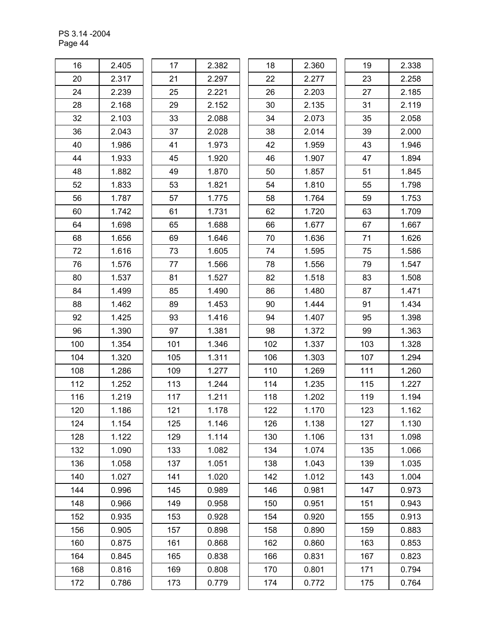| 16  | 2.405 | 17  | 2.382 | 18  | 2.360 | 19  | 2.338 |
|-----|-------|-----|-------|-----|-------|-----|-------|
| 20  | 2.317 | 21  | 2.297 | 22  | 2.277 | 23  | 2.258 |
| 24  | 2.239 | 25  | 2.221 | 26  | 2.203 | 27  | 2.185 |
| 28  | 2.168 | 29  | 2.152 | 30  | 2.135 | 31  | 2.119 |
| 32  | 2.103 | 33  | 2.088 | 34  | 2.073 | 35  | 2.058 |
| 36  | 2.043 | 37  | 2.028 | 38  | 2.014 | 39  | 2.000 |
| 40  | 1.986 | 41  | 1.973 | 42  | 1.959 | 43  | 1.946 |
| 44  | 1.933 | 45  | 1.920 | 46  | 1.907 | 47  | 1.894 |
| 48  | 1.882 | 49  | 1.870 | 50  | 1.857 | 51  | 1.845 |
| 52  | 1.833 | 53  | 1.821 | 54  | 1.810 | 55  | 1.798 |
| 56  | 1.787 | 57  | 1.775 | 58  | 1.764 | 59  | 1.753 |
| 60  | 1.742 | 61  | 1.731 | 62  | 1.720 | 63  | 1.709 |
| 64  | 1.698 | 65  | 1.688 | 66  | 1.677 | 67  | 1.667 |
| 68  | 1.656 | 69  | 1.646 | 70  | 1.636 | 71  | 1.626 |
| 72  | 1.616 | 73  | 1.605 | 74  | 1.595 | 75  | 1.586 |
| 76  | 1.576 | 77  | 1.566 | 78  | 1.556 | 79  | 1.547 |
| 80  | 1.537 | 81  | 1.527 | 82  | 1.518 | 83  | 1.508 |
| 84  | 1.499 | 85  | 1.490 | 86  | 1.480 | 87  | 1.471 |
| 88  | 1.462 | 89  | 1.453 | 90  | 1.444 | 91  | 1.434 |
| 92  | 1.425 | 93  | 1.416 | 94  | 1.407 | 95  | 1.398 |
| 96  | 1.390 | 97  | 1.381 | 98  | 1.372 | 99  | 1.363 |
| 100 | 1.354 | 101 | 1.346 | 102 | 1.337 | 103 | 1.328 |
| 104 | 1.320 | 105 | 1.311 | 106 | 1.303 | 107 | 1.294 |
| 108 | 1.286 | 109 | 1.277 | 110 | 1.269 | 111 | 1.260 |
| 112 | 1.252 | 113 | 1.244 | 114 | 1.235 | 115 | 1.227 |
| 116 | 1.219 | 117 | 1.211 | 118 | 1.202 | 119 | 1.194 |
| 120 | 1.186 | 121 | 1.178 | 122 | 1.170 | 123 | 1.162 |
| 124 | 1.154 | 125 | 1.146 | 126 | 1.138 | 127 | 1.130 |
| 128 | 1.122 | 129 | 1.114 | 130 | 1.106 | 131 | 1.098 |
| 132 | 1.090 | 133 | 1.082 | 134 | 1.074 | 135 | 1.066 |
| 136 | 1.058 | 137 | 1.051 | 138 | 1.043 | 139 | 1.035 |
| 140 | 1.027 | 141 | 1.020 | 142 | 1.012 | 143 | 1.004 |
| 144 | 0.996 | 145 | 0.989 | 146 | 0.981 | 147 | 0.973 |
| 148 | 0.966 | 149 | 0.958 | 150 | 0.951 | 151 | 0.943 |
| 152 | 0.935 | 153 | 0.928 | 154 | 0.920 | 155 | 0.913 |
| 156 | 0.905 | 157 | 0.898 | 158 | 0.890 | 159 | 0.883 |
| 160 | 0.875 | 161 | 0.868 | 162 | 0.860 | 163 | 0.853 |
| 164 | 0.845 | 165 | 0.838 | 166 | 0.831 | 167 | 0.823 |
| 168 | 0.816 | 169 | 0.808 | 170 | 0.801 | 171 | 0.794 |
| 172 | 0.786 | 173 | 0.779 | 174 | 0.772 | 175 | 0.764 |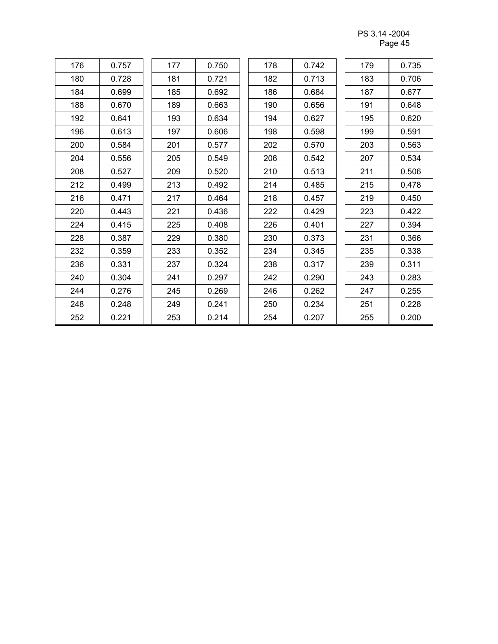PS 3.14 -2004 Page 45 and the state of the state of the state of the state of the state of the state of the state of the state of the state of the state of the state of the state of the state of the state of the state of the state of th

| 176 | 0.757 | 177 | 0.750 | 178 | 0.742 | 179 | 0.735 |
|-----|-------|-----|-------|-----|-------|-----|-------|
| 180 | 0.728 | 181 | 0.721 | 182 | 0.713 | 183 | 0.706 |
| 184 | 0.699 | 185 | 0.692 | 186 | 0.684 | 187 | 0.677 |
| 188 | 0.670 | 189 | 0.663 | 190 | 0.656 | 191 | 0.648 |
| 192 | 0.641 | 193 | 0.634 | 194 | 0.627 | 195 | 0.620 |
| 196 | 0.613 | 197 | 0.606 | 198 | 0.598 | 199 | 0.591 |
| 200 | 0.584 | 201 | 0.577 | 202 | 0.570 | 203 | 0.563 |
| 204 | 0.556 | 205 | 0.549 | 206 | 0.542 | 207 | 0.534 |
| 208 | 0.527 | 209 | 0.520 | 210 | 0.513 | 211 | 0.506 |
| 212 | 0.499 | 213 | 0.492 | 214 | 0.485 | 215 | 0.478 |
| 216 | 0.471 | 217 | 0.464 | 218 | 0.457 | 219 | 0.450 |
| 220 | 0.443 | 221 | 0.436 | 222 | 0.429 | 223 | 0.422 |
| 224 | 0.415 | 225 | 0.408 | 226 | 0.401 | 227 | 0.394 |
| 228 | 0.387 | 229 | 0.380 | 230 | 0.373 | 231 | 0.366 |
| 232 | 0.359 | 233 | 0.352 | 234 | 0.345 | 235 | 0.338 |
| 236 | 0.331 | 237 | 0.324 | 238 | 0.317 | 239 | 0.311 |
| 240 | 0.304 | 241 | 0.297 | 242 | 0.290 | 243 | 0.283 |
| 244 | 0.276 | 245 | 0.269 | 246 | 0.262 | 247 | 0.255 |
| 248 | 0.248 | 249 | 0.241 | 250 | 0.234 | 251 | 0.228 |
| 252 | 0.221 | 253 | 0.214 | 254 | 0.207 | 255 | 0.200 |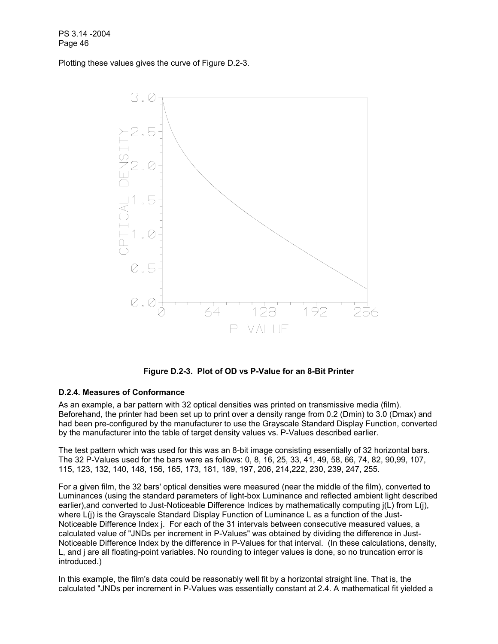Plotting these values gives the curve of Figure D.2-3.



**Figure D.2-3. Plot of OD vs P-Value for an 8-Bit Printer**

#### **D.2.4. Measures of Conformance**

As an example, a bar pattern with 32 optical densities was printed on transmissive media (film). Beforehand, the printer had been set up to print over a density range from 0.2 (Dmin) to 3.0 (Dmax) and had been pre-configured by the manufacturer to use the Grayscale Standard Display Function, converted by the manufacturer into the table of target density values vs. P-Values described earlier.

The test pattern which was used for this was an 8-bit image consisting essentially of 32 horizontal bars. The 32 P-Values used for the bars were as follows: 0, 8, 16, 25, 33, 41, 49, 58, 66, 74, 82, 90,99, 107, 115, 123, 132, 140, 148, 156, 165, 173, 181, 189, 197, 206, 214,222, 230, 239, 247, 255.

For a given film, the 32 bars' optical densities were measured (near the middle of the film), converted to Luminances (using the standard parameters of light-box Luminance and reflected ambient light described earlier), and converted to Just-Noticeable Difference Indices by mathematically computing  $i(L)$  from  $L(i)$ , where  $L(i)$  is the Grayscale Standard Display Function of Luminance L as a function of the Just-Noticeable Difference Index j. For each of the 31 intervals between consecutive measured values, a calculated value of "JNDs per increment in P-Values" was obtained by dividing the difference in Just-Noticeable Difference Index by the difference in P-Values for that interval. (In these calculations, density, L, and j are all floating-point variables. No rounding to integer values is done, so no truncation error is introduced.)

In this example, the film's data could be reasonably well fit by a horizontal straight line. That is, the calculated "JNDs per increment in P-Values was essentially constant at 2.4. A mathematical fit yielded a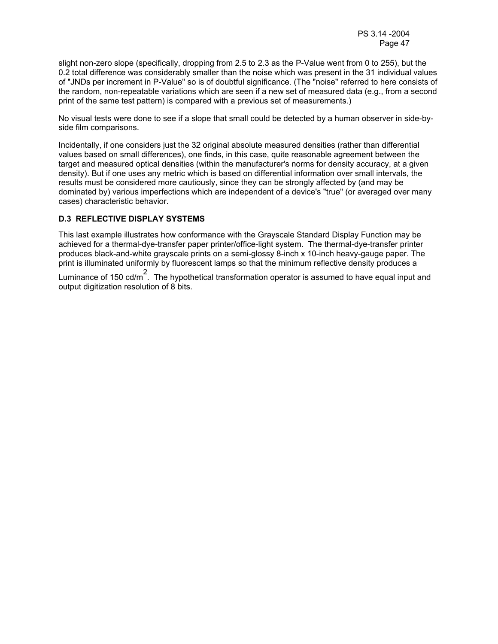slight non-zero slope (specifically, dropping from 2.5 to 2.3 as the P-Value went from 0 to 255), but the 0.2 total difference was considerably smaller than the noise which was present in the 31 individual values of "JNDs per increment in P-Value" so is of doubtful significance. (The "noise" referred to here consists of the random, non-repeatable variations which are seen if a new set of measured data (e.g., from a second print of the same test pattern) is compared with a previous set of measurements.)

No visual tests were done to see if a slope that small could be detected by a human observer in side-byside film comparisons.

Incidentally, if one considers just the 32 original absolute measured densities (rather than differential values based on small differences), one finds, in this case, quite reasonable agreement between the target and measured optical densities (within the manufacturer's norms for density accuracy, at a given density). But if one uses any metric which is based on differential information over small intervals, the results must be considered more cautiously, since they can be strongly affected by (and may be dominated by) various imperfections which are independent of a device's "true" (or averaged over many cases) characteristic behavior.

#### **D.3 REFLECTIVE DISPLAY SYSTEMS**

This last example illustrates how conformance with the Grayscale Standard Display Function may be achieved for a thermal-dye-transfer paper printer/office-light system. The thermal-dye-transfer printer produces black-and-white grayscale prints on a semi-glossy 8-inch x 10-inch heavy-gauge paper. The print is illuminated uniformly by fluorescent lamps so that the minimum reflective density produces a

Luminance of 150 cd/m<sup>2</sup>. The hypothetical transformation operator is assumed to have equal input and output digitization resolution of 8 bits.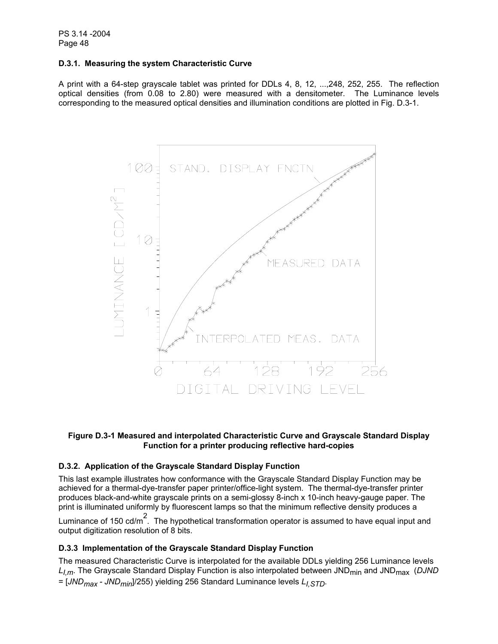#### **D.3.1. Measuring the system Characteristic Curve**

A print with a 64-step grayscale tablet was printed for DDLs 4, 8, 12, ...,248, 252, 255. The reflection optical densities (from 0.08 to 2.80) were measured with a densitometer. The Luminance levels corresponding to the measured optical densities and illumination conditions are plotted in Fig. D.3-1.



#### **Figure D.3-1 Measured and interpolated Characteristic Curve and Grayscale Standard Display Function for a printer producing reflective hard-copies**

#### **D.3.2. Application of the Grayscale Standard Display Function**

This last example illustrates how conformance with the Grayscale Standard Display Function may be achieved for a thermal-dye-transfer paper printer/office-light system. The thermal-dye-transfer printer produces black-and-white grayscale prints on a semi-glossy 8-inch x 10-inch heavy-gauge paper. The print is illuminated uniformly by fluorescent lamps so that the minimum reflective density produces a

Luminance of 150 cd/m<sup>2</sup>. The hypothetical transformation operator is assumed to have equal input and output digitization resolution of 8 bits.

#### **D.3.3 Implementation of the Grayscale Standard Display Function**

The measured Characteristic Curve is interpolated for the available DDLs yielding 256 Luminance levels *L<sub>I,m</sub>*. The Grayscale Standard Display Function is also interpolated between JND<sub>min</sub> and JND<sub>max</sub> (DJND = [*JNDmax - JNDmin*]/255) yielding 256 Standard Luminance levels *LI,STD*.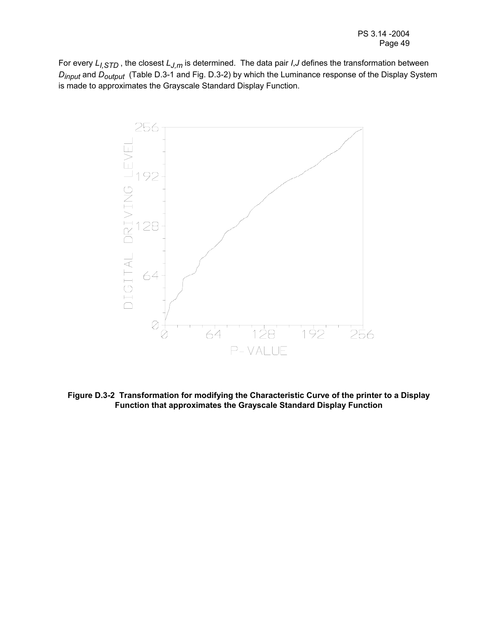For every *LI,STD* , the closest *LJ,m* is determined. The data pair *I*,*J* defines the transformation between *Dinput* and *Doutput* (Table D.3-1 and Fig. D.3-2) by which the Luminance response of the Display System is made to approximates the Grayscale Standard Display Function.



**Figure D.3-2 Transformation for modifying the Characteristic Curve of the printer to a Display Function that approximates the Grayscale Standard Display Function**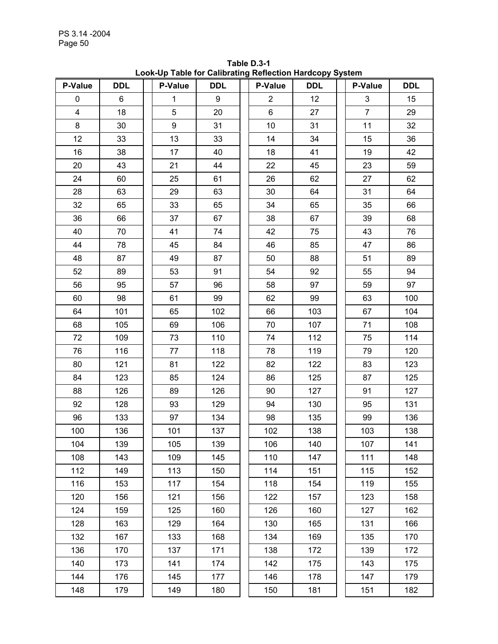| P-Value        | <b>DDL</b> | P-Value          | <b>DDL</b>       | P-Value        | <b>DDL</b> | P-Value        | <b>DDL</b> |
|----------------|------------|------------------|------------------|----------------|------------|----------------|------------|
| 0              | 6          | $\mathbf 1$      | $\boldsymbol{9}$ | $\overline{2}$ | 12         | $\mathbf{3}$   | 15         |
| $\overline{4}$ | 18         | 5                | 20               | $6\phantom{a}$ | 27         | $\overline{7}$ | 29         |
| 8              | 30         | $\boldsymbol{9}$ | 31               | 10             | 31         | 11             | 32         |
| 12             | 33         | 13               | 33               | 14             | 34         | 15             | 36         |
| 16             | 38         | 17               | 40               | 18             | 41         | 19             | 42         |
| 20             | 43         | 21               | 44               | 22             | 45         | 23             | 59         |
| 24             | 60         | 25               | 61               | 26             | 62         | 27             | 62         |
| 28             | 63         | 29               | 63               | 30             | 64         | 31             | 64         |
| 32             | 65         | 33               | 65               | 34             | 65         | 35             | 66         |
| 36             | 66         | 37               | 67               | 38             | 67         | 39             | 68         |
| 40             | 70         | 41               | 74               | 42             | 75         | 43             | 76         |
| 44             | 78         | 45               | 84               | 46             | 85         | 47             | 86         |
| 48             | 87         | 49               | 87               | 50             | 88         | 51             | 89         |
| 52             | 89         | 53               | 91               | 54             | 92         | 55             | 94         |
| 56             | 95         | 57               | 96               | 58             | 97         | 59             | 97         |
| 60             | 98         | 61               | 99               | 62             | 99         | 63             | 100        |
| 64             | 101        | 65               | 102              | 66             | 103        | 67             | 104        |
| 68             | 105        | 69               | 106              | 70             | 107        | 71             | 108        |
| 72             | 109        | 73               | 110              | 74             | 112        | 75             | 114        |
| 76             | 116        | 77               | 118              | 78             | 119        | 79             | 120        |
| 80             | 121        | 81               | 122              | 82             | 122        | 83             | 123        |
| 84             | 123        | 85               | 124              | 86             | 125        | 87             | 125        |
| 88             | 126        | 89               | 126              | 90             | 127        | 91             | 127        |
| 92             | 128        | 93               | 129              | 94             | 130        | 95             | 131        |
| 96             | 133        | 97               | 134              | 98             | 135        | 99             | 136        |
| 100            | 136        | 101              | 137              | 102            | 138        | 103            | 138        |
| 104            | 139        | 105              | 139              | 106            | 140        | 107            | 141        |
| 108            | 143        | 109              | 145              | 110            | 147        | 111            | 148        |
| 112            | 149        | 113              | 150              | 114            | 151        | 115            | 152        |
| 116            | 153        | 117              | 154              | 118            | 154        | 119            | 155        |
| 120            | 156        | 121              | 156              | 122            | 157        | 123            | 158        |
| 124            | 159        | 125              | 160              | 126            | 160        | 127            | 162        |
| 128            | 163        | 129              | 164              | 130            | 165        | 131            | 166        |
| 132            | 167        | 133              | 168              | 134            | 169        | 135            | 170        |
| 136            | 170        | 137              | 171              | 138            | 172        | 139            | 172        |
| 140            | 173        | 141              | 174              | 142            | 175        | 143            | 175        |
| 144            | 176        | 145              | 177              | 146            | 178        | 147            | 179        |
| 148            | 179        | 149              | 180              | 150            | 181        | 151            | 182        |

**Table D.3-1 Look-Up Table for Calibrating Reflection Hardcopy System**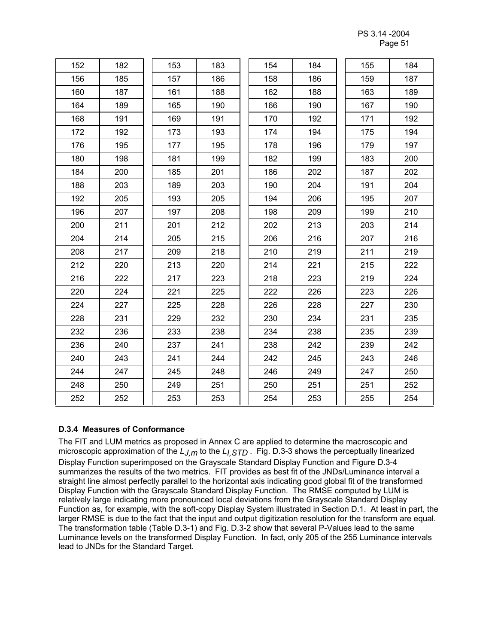PS 3.14 -2004 Page 51 - Page 51 - Page 51 - Page 51 - Page 51 - Page 51 - Page 51 - Page 51 - Page 51 - Page 51 - Page 51 - Page 51 - Page 51 - Page 51 - Page 51 - Page 51 - Page 51 - Page 51 - Page 51 - Page 51 - Page 51 - Page 51 - Pa

| 152 | 182 | 153 | 183 | 154 | 184 | 155 | 184 |
|-----|-----|-----|-----|-----|-----|-----|-----|
| 156 | 185 | 157 | 186 | 158 | 186 | 159 | 187 |
| 160 | 187 | 161 | 188 | 162 | 188 | 163 | 189 |
| 164 | 189 | 165 | 190 | 166 | 190 | 167 | 190 |
| 168 | 191 | 169 | 191 | 170 | 192 | 171 | 192 |
| 172 | 192 | 173 | 193 | 174 | 194 | 175 | 194 |
| 176 | 195 | 177 | 195 | 178 | 196 | 179 | 197 |
| 180 | 198 | 181 | 199 | 182 | 199 | 183 | 200 |
| 184 | 200 | 185 | 201 | 186 | 202 | 187 | 202 |
| 188 | 203 | 189 | 203 | 190 | 204 | 191 | 204 |
| 192 | 205 | 193 | 205 | 194 | 206 | 195 | 207 |
| 196 | 207 | 197 | 208 | 198 | 209 | 199 | 210 |
| 200 | 211 | 201 | 212 | 202 | 213 | 203 | 214 |
| 204 | 214 | 205 | 215 | 206 | 216 | 207 | 216 |
| 208 | 217 | 209 | 218 | 210 | 219 | 211 | 219 |
| 212 | 220 | 213 | 220 | 214 | 221 | 215 | 222 |
| 216 | 222 | 217 | 223 | 218 | 223 | 219 | 224 |
| 220 | 224 | 221 | 225 | 222 | 226 | 223 | 226 |
| 224 | 227 | 225 | 228 | 226 | 228 | 227 | 230 |
| 228 | 231 | 229 | 232 | 230 | 234 | 231 | 235 |
| 232 | 236 | 233 | 238 | 234 | 238 | 235 | 239 |
| 236 | 240 | 237 | 241 | 238 | 242 | 239 | 242 |
| 240 | 243 | 241 | 244 | 242 | 245 | 243 | 246 |
| 244 | 247 | 245 | 248 | 246 | 249 | 247 | 250 |
| 248 | 250 | 249 | 251 | 250 | 251 | 251 | 252 |
| 252 | 252 | 253 | 253 | 254 | 253 | 255 | 254 |

#### **D.3.4 Measures of Conformance**

The FIT and LUM metrics as proposed in Annex C are applied to determine the macroscopic and microscopic approximation of the *LJ,m* to the *LI,STD* . Fig. D.3-3 shows the perceptually linearized Display Function superimposed on the Grayscale Standard Display Function and Figure D.3-4 summarizes the results of the two metrics. FIT provides as best fit of the JNDs/Luminance interval a straight line almost perfectly parallel to the horizontal axis indicating good global fit of the transformed Display Function with the Grayscale Standard Display Function. The RMSE computed by LUM is relatively large indicating more pronounced local deviations from the Grayscale Standard Display Function as, for example, with the soft-copy Display System illustrated in Section D.1. At least in part, the larger RMSE is due to the fact that the input and output digitization resolution for the transform are equal. The transformation table (Table D.3-1) and Fig. D.3-2 show that several P-Values lead to the same Luminance levels on the transformed Display Function. In fact, only 205 of the 255 Luminance intervals lead to JNDs for the Standard Target.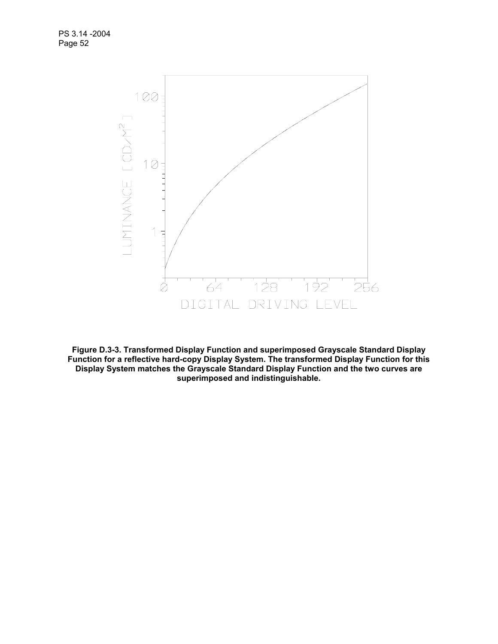

**Figure D.3-3. Transformed Display Function and superimposed Grayscale Standard Display Function for a reflective hard-copy Display System. The transformed Display Function for this Display System matches the Grayscale Standard Display Function and the two curves are superimposed and indistinguishable.**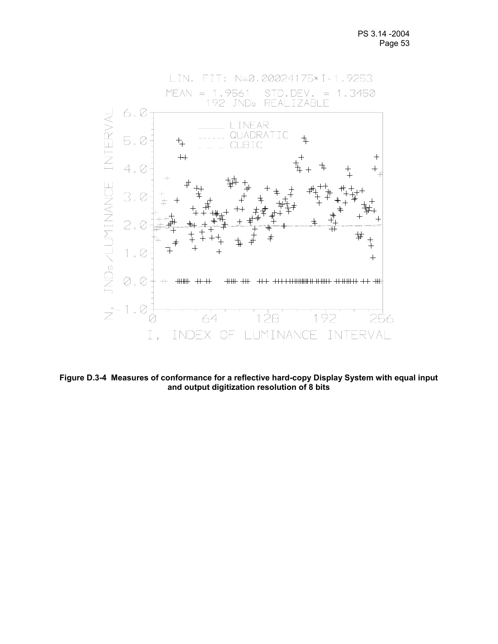

**Figure D.3-4 Measures of conformance for a reflective hard-copy Display System with equal input and output digitization resolution of 8 bits**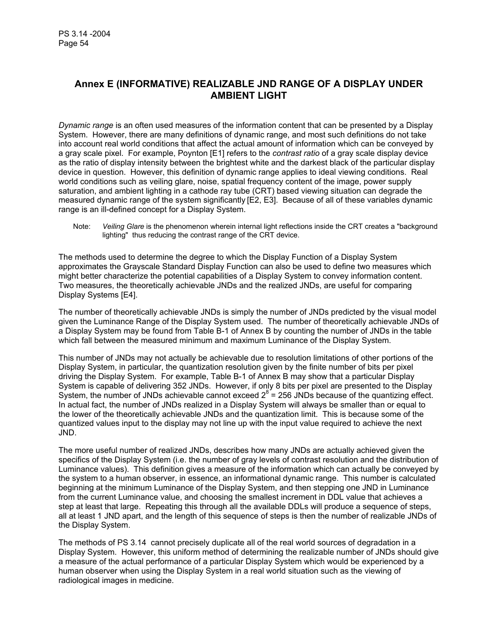### **Annex E (INFORMATIVE) REALIZABLE JND RANGE OF A DISPLAY UNDER AMBIENT LIGHT**

*Dynamic range* is an often used measures of the information content that can be presented by a Display System. However, there are many definitions of dynamic range, and most such definitions do not take into account real world conditions that affect the actual amount of information which can be conveyed by a gray scale pixel. For example, Poynton [E1] refers to the *contrast ratio* of a gray scale display device as the ratio of display intensity between the brightest white and the darkest black of the particular display device in question. However, this definition of dynamic range applies to ideal viewing conditions. Real world conditions such as veiling glare, noise, spatial frequency content of the image, power supply saturation, and ambient lighting in a cathode ray tube (CRT) based viewing situation can degrade the measured dynamic range of the system significantly [E2, E3]. Because of all of these variables dynamic range is an ill-defined concept for a Display System.

Note: *Veiling Glare* is the phenomenon wherein internal light reflections inside the CRT creates a "background lighting" thus reducing the contrast range of the CRT device.

The methods used to determine the degree to which the Display Function of a Display System approximates the Grayscale Standard Display Function can also be used to define two measures which might better characterize the potential capabilities of a Display System to convey information content. Two measures, the theoretically achievable JNDs and the realized JNDs, are useful for comparing Display Systems [E4].

The number of theoretically achievable JNDs is simply the number of JNDs predicted by the visual model given the Luminance Range of the Display System used. The number of theoretically achievable JNDs of a Display System may be found from Table B-1 of Annex B by counting the number of JNDs in the table which fall between the measured minimum and maximum Luminance of the Display System.

This number of JNDs may not actually be achievable due to resolution limitations of other portions of the Display System, in particular, the quantization resolution given by the finite number of bits per pixel driving the Display System. For example, Table B-1 of Annex B may show that a particular Display System is capable of delivering 352 JNDs. However, if only 8 bits per pixel are presented to the Display System, the number of JNDs achievable cannot exceed  $2^8$  = 256 JNDs because of the quantizing effect. In actual fact, the number of JNDs realized in a Display System will always be smaller than or equal to the lower of the theoretically achievable JNDs and the quantization limit. This is because some of the quantized values input to the display may not line up with the input value required to achieve the next JND.

The more useful number of realized JNDs, describes how many JNDs are actually achieved given the specifics of the Display System (i.e. the number of gray levels of contrast resolution and the distribution of Luminance values). This definition gives a measure of the information which can actually be conveyed by the system to a human observer, in essence, an informational dynamic range. This number is calculated beginning at the minimum Luminance of the Display System, and then stepping one JND in Luminance from the current Luminance value, and choosing the smallest increment in DDL value that achieves a step at least that large. Repeating this through all the available DDLs will produce a sequence of steps, all at least 1 JND apart, and the length of this sequence of steps is then the number of realizable JNDs of the Display System.

The methods of PS 3.14 cannot precisely duplicate all of the real world sources of degradation in a Display System. However, this uniform method of determining the realizable number of JNDs should give a measure of the actual performance of a particular Display System which would be experienced by a human observer when using the Display System in a real world situation such as the viewing of radiological images in medicine.